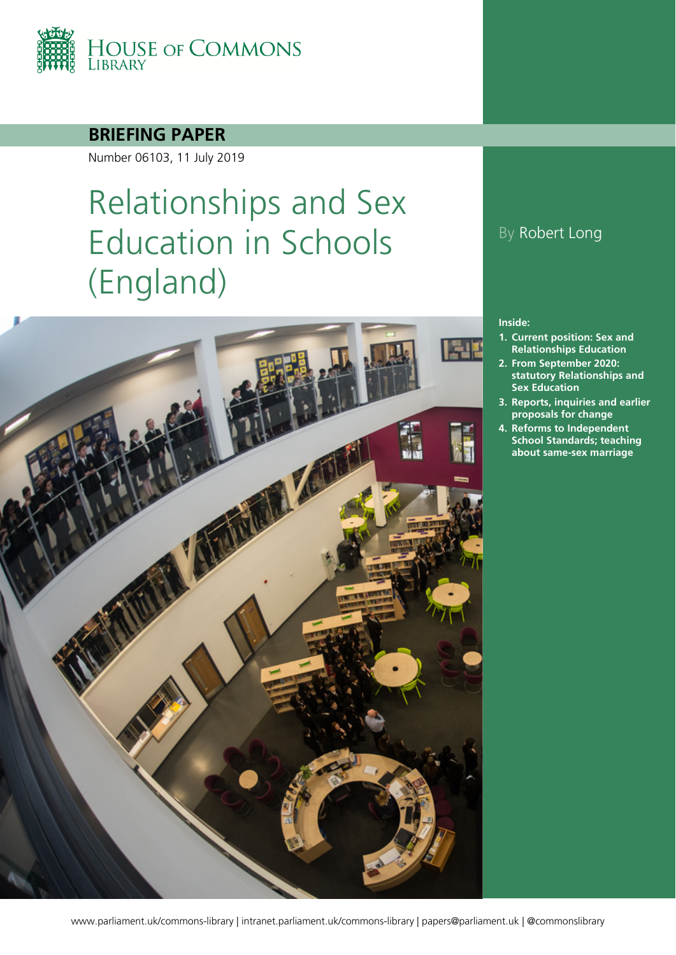

### **BRIEFING PAPER**

Number 06103, 11 July 2019

# Relationships and Sex Education in Schools (England)



### By Robert Long

#### **Inside:**

- **1. [Current position: Sex and](#page-3-0) [Relationships Education](#page-3-0)**
- **2. [From September 2020:](#page-8-0)  [statutory Relationships and](#page-8-0)  [Sex Education](#page-8-0)**
- **3. [Reports, inquiries and earlier](#page-16-0)  [proposals for change](#page-16-0)**
- **4. [Reforms to Independent](#page-24-0)  [School Standards; teaching](#page-24-0)  [about same-sex marriage](#page-24-0)**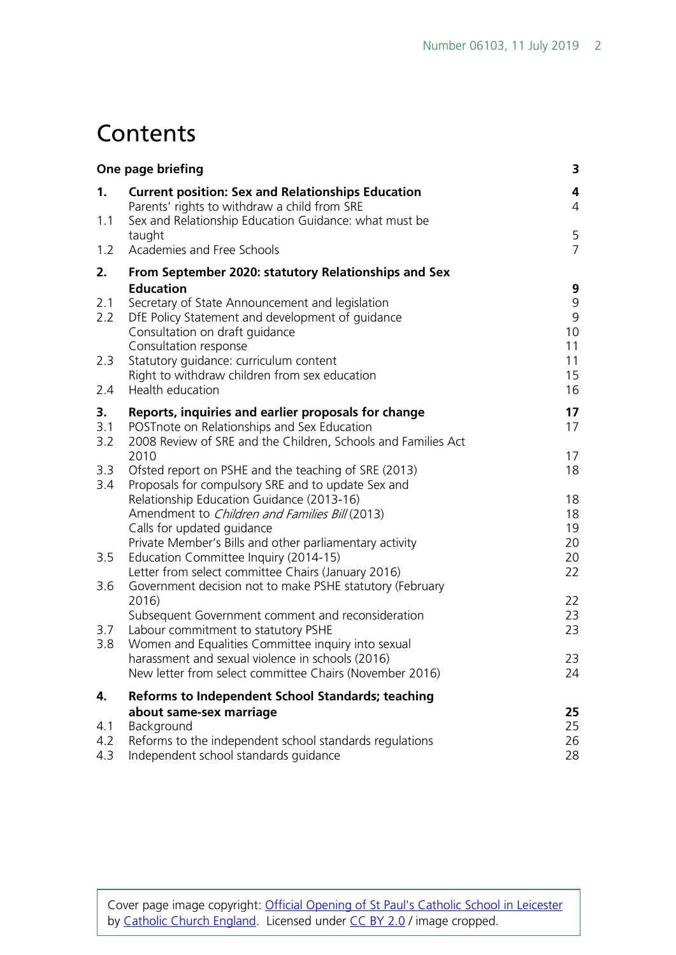## **Contents**

| One page briefing |                                                                                                                                                                                                                                            | 3                                         |
|-------------------|--------------------------------------------------------------------------------------------------------------------------------------------------------------------------------------------------------------------------------------------|-------------------------------------------|
| 1.                | <b>Current position: Sex and Relationships Education</b><br>Parents' rights to withdraw a child from SRE                                                                                                                                   | $\overline{\mathbf{4}}$<br>$\overline{4}$ |
| 1.1               | Sex and Relationship Education Guidance: what must be                                                                                                                                                                                      |                                           |
| 1.2               | taught<br>Academies and Free Schools                                                                                                                                                                                                       | 5<br>$\overline{7}$                       |
| 2.                | From September 2020: statutory Relationships and Sex                                                                                                                                                                                       |                                           |
| 2.1<br>2.2        | <b>Education</b><br>Secretary of State Announcement and legislation<br>DfE Policy Statement and development of quidance<br>Consultation on draft guidance<br>Consultation response                                                         | 9<br>9<br>9<br>10<br>11                   |
| 2.3               | Statutory guidance: curriculum content                                                                                                                                                                                                     | 11                                        |
| 2.4               | Right to withdraw children from sex education<br>Health education                                                                                                                                                                          | 15<br>16                                  |
| 3.<br>3.1<br>3.2  | Reports, inquiries and earlier proposals for change<br>POST note on Relationships and Sex Education<br>2008 Review of SRE and the Children, Schools and Families Act                                                                       | 17<br>17                                  |
| 3.3               | 2010<br>Ofsted report on PSHE and the teaching of SRE (2013)                                                                                                                                                                               | 17<br>18                                  |
| 3.4               | Proposals for compulsory SRE and to update Sex and<br>Relationship Education Guidance (2013-16)<br>Amendment to Children and Families Bill (2013)<br>Calls for updated guidance<br>Private Member's Bills and other parliamentary activity | 18<br>18<br>19<br>20                      |
| 3.5               | Education Committee Inquiry (2014-15)<br>Letter from select committee Chairs (January 2016)                                                                                                                                                | 20<br>22                                  |
| 3.6               | Government decision not to make PSHE statutory (February                                                                                                                                                                                   |                                           |
| 3.7<br>3.8        | 2016)<br>Subsequent Government comment and reconsideration<br>Labour commitment to statutory PSHE<br>Women and Equalities Committee inquiry into sexual                                                                                    | 22<br>23<br>23                            |
|                   | harassment and sexual violence in schools (2016)<br>New letter from select committee Chairs (November 2016)                                                                                                                                | 23<br>24                                  |
| 4.                | <b>Reforms to Independent School Standards; teaching</b>                                                                                                                                                                                   |                                           |
| 4.1<br>4.2<br>4.3 | about same-sex marriage<br>Background<br>Reforms to the independent school standards regulations<br>Independent school standards guidance                                                                                                  | 25<br>25<br>26<br>28                      |

Cover page image copyright: [Official Opening of St Paul's Catholic School in Leicester](https://www.flickr.com/photos/catholicism/16468633404/in/photolist-r6h3Xf-rKGV8L-s39HAw-rKFDJu-r6u43R-rKEfYG-nsTGgs-ad7xgp-9e4gXq-9uEcAJ-qrJGXJ-eepbm-6rcN13-5i9SLE-7Dkdgq-tQX4oR-mr81Y3-4kudXv-9H4VtM-gXHe1d-6Ya6wF-otXYGN-6HPwgi-7oBZwz-8eCKgN-sry38Y-6y4D85-rUtJdM-dZgc3Q-7ZMFCk-9u1Hrn-k7hLbk-87RBa8-dtZLj9-uyCEXn-a2NMC9-5RpyJF-e7gFa-4gEeri-9F5f4s-8RCnVm-pNdKo8-e5xi47-9VpaoU-9UGjcG-5qQmNL-89TAR6-dEuSpJ-quL4iA-fYs8c) by [Catholic Church England.](https://www.flickr.com/photos/catholicism/) Licensed under [CC BY 2.0](https://creativecommons.org/licenses/by-nc-sa/2.0/) / image cropped.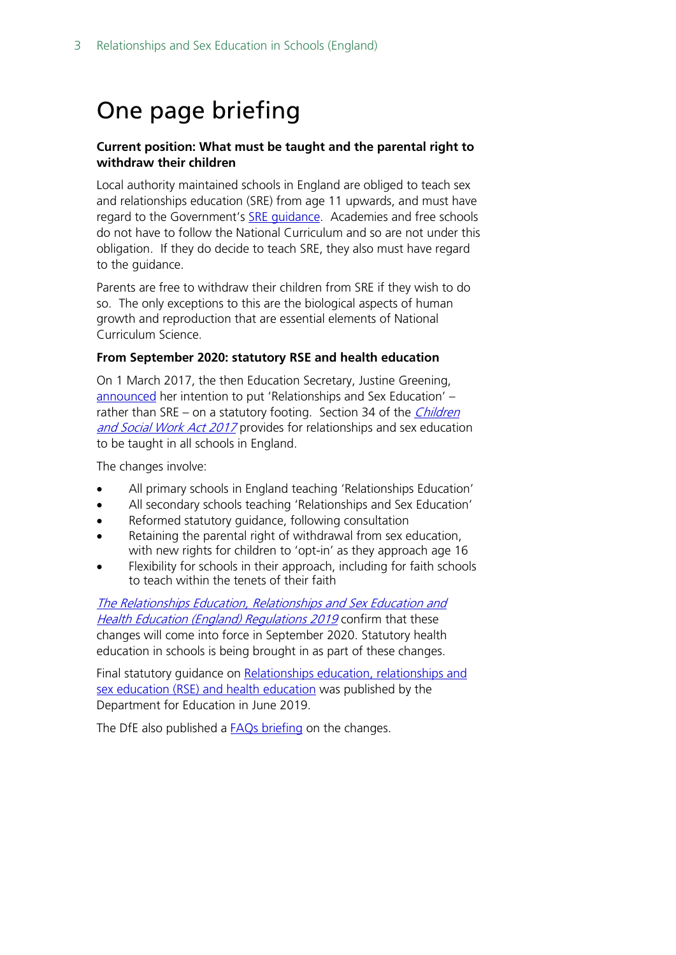## <span id="page-2-0"></span>One page briefing

#### **Current position: What must be taught and the parental right to withdraw their children**

Local authority maintained schools in England are obliged to teach sex and relationships education (SRE) from age 11 upwards, and must have regard to the Government's **SRE quidance**. Academies and free schools do not have to follow the National Curriculum and so are not under this obligation. If they do decide to teach SRE, they also must have regard to the guidance.

Parents are free to withdraw their children from SRE if they wish to do so. The only exceptions to this are the biological aspects of human growth and reproduction that are essential elements of National Curriculum Science.

#### **From September 2020: statutory RSE and health education**

On 1 March 2017, the then Education Secretary, Justine Greening, [announced](http://www.parliament.uk/business/publications/written-questions-answers-statements/written-statement/Commons/2017-03-01/HCWS509/) her intention to put 'Relationships and Sex Education' – rather than SRE – on a statutory footing. Section 34 of the *Children* [and Social Work Act 2017](http://www.legislation.gov.uk/ukpga/2017/16/section/34/enacted) provides for relationships and sex education to be taught in all schools in England.

The changes involve:

- All primary schools in England teaching 'Relationships Education'
- All secondary schools teaching 'Relationships and Sex Education'
- Reformed statutory guidance, following consultation
- Retaining the parental right of withdrawal from sex education, with new rights for children to 'opt-in' as they approach age 16
- Flexibility for schools in their approach, including for faith schools to teach within the tenets of their faith

[The Relationships Education, Relationships and Sex Education and](http://www.legislation.gov.uk/uksi/2019/924/introduction/made)  [Health Education \(England\) Regulations 2019](http://www.legislation.gov.uk/uksi/2019/924/introduction/made) confirm that these changes will come into force in September 2020. Statutory health education in schools is being brought in as part of these changes.

Final statutory guidance on Relationships education, relationships and [sex education \(RSE\) and health education](https://www.gov.uk/government/publications/relationships-education-relationships-and-sex-education-rse-and-health-education) was published by the Department for Education in June 2019.

The DfE also published a [FAQs briefing](https://www.gov.uk/government/news/relationships-education-relationships-and-sex-education-rse-and-health-education-faqs) on the changes.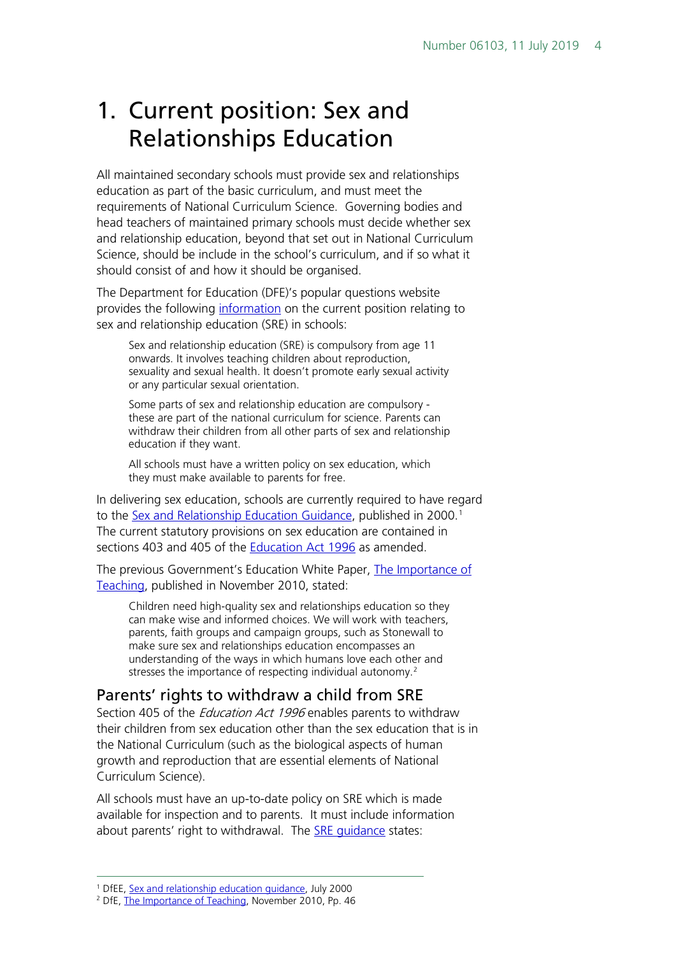## <span id="page-3-0"></span>1. Current position: Sex and Relationships Education

All maintained secondary schools must provide sex and relationships education as part of the basic curriculum, and must meet the requirements of National Curriculum Science. Governing bodies and head teachers of maintained primary schools must decide whether sex and relationship education, beyond that set out in National Curriculum Science, should be include in the school's curriculum, and if so what it should consist of and how it should be organised.

The Department for Education (DFE)'s popular questions website provides the following [information](https://www.education.gov.uk/popularquestions/schools/curriculum/a005567/when-will-my-child-receive-sex-education-in-school) on the current position relating to sex and relationship education (SRE) in schools:

Sex and relationship education (SRE) is compulsory from age 11 onwards. It involves teaching children about reproduction, sexuality and sexual health. It doesn't promote early sexual activity or any particular sexual orientation.

Some parts of sex and relationship education are compulsory these are part of the national curriculum for science. Parents can withdraw their children from all other parts of sex and relationship education if they want.

All schools must have a written policy on sex education, which they must make available to parents for free.

In delivering sex education, schools are currently required to have regard to the [Sex and Relationship Education Guidance,](https://www.gov.uk/government/publications/sex-and-relationship-education) published in 2000.<sup>[1](#page-3-2)</sup> The current statutory provisions on sex education are contained in sections 403 and 405 of the [Education Act 1996](http://www.legislation.gov.uk/ukpga/1996/56/contents) as amended.

The previous Government's Education White Paper, The Importance of [Teaching,](https://www.education.gov.uk/publications/standard/publicationdetail/page1/CM%207980) published in November 2010, stated:

Children need high-quality sex and relationships education so they can make wise and informed choices. We will work with teachers, parents, faith groups and campaign groups, such as Stonewall to make sure sex and relationships education encompasses an understanding of the ways in which humans love each other and stresses the importance of respecting individual autonomy.<sup>[2](#page-3-3)</sup>

#### <span id="page-3-1"></span>Parents' rights to withdraw a child from SRE

Section 405 of the *Education Act 1996* enables parents to withdraw their children from sex education other than the sex education that is in the National Curriculum (such as the biological aspects of human growth and reproduction that are essential elements of National Curriculum Science).

All schools must have an up-to-date policy on SRE which is made available for inspection and to parents. It must include information about parents' right to withdrawal. The [SRE guidance](https://www.gov.uk/government/publications/sex-and-relationship-education) states:

 <sup>1</sup> DfEE[, Sex and relationship education guidance,](https://www.gov.uk/government/uploads/system/uploads/attachment_data/file/283599/sex_and_relationship_education_guidance.pdf) July 2000

<span id="page-3-3"></span><span id="page-3-2"></span><sup>2</sup> DfE, [The Importance of Teaching,](https://www.education.gov.uk/publications/standard/publicationdetail/page1/CM%207980) November 2010, Pp. 46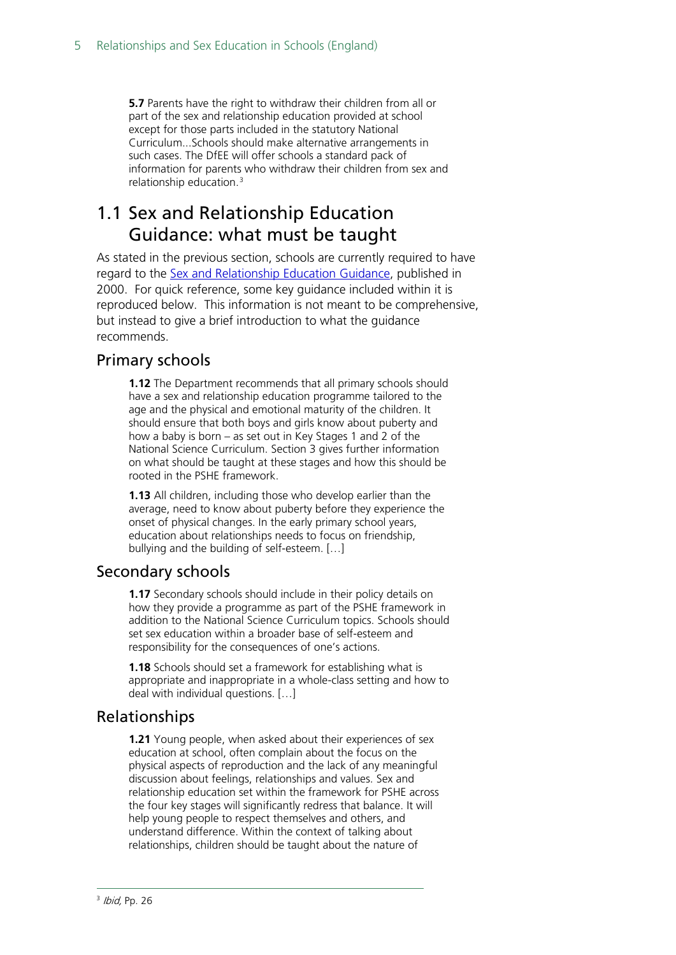**5.7** Parents have the right to withdraw their children from all or part of the sex and relationship education provided at school except for those parts included in the statutory National Curriculum...Schools should make alternative arrangements in such cases. The DfEE will offer schools a standard pack of information for parents who withdraw their children from sex and relationship education.[3](#page-4-1)

### <span id="page-4-0"></span>1.1 Sex and Relationship Education Guidance: what must be taught

As stated in the previous section, schools are currently required to have regard to the [Sex and Relationship Education Guidance,](https://www.gov.uk/government/publications/sex-and-relationship-education) published in 2000. For quick reference, some key guidance included within it is reproduced below. This information is not meant to be comprehensive, but instead to give a brief introduction to what the guidance recommends.

#### Primary schools

**1.12** The Department recommends that all primary schools should have a sex and relationship education programme tailored to the age and the physical and emotional maturity of the children. It should ensure that both boys and girls know about puberty and how a baby is born – as set out in Key Stages 1 and 2 of the National Science Curriculum. Section 3 gives further information on what should be taught at these stages and how this should be rooted in the PSHE framework.

**1.13** All children, including those who develop earlier than the average, need to know about puberty before they experience the onset of physical changes. In the early primary school years, education about relationships needs to focus on friendship, bullying and the building of self-esteem. […]

#### Secondary schools

**1.17** Secondary schools should include in their policy details on how they provide a programme as part of the PSHE framework in addition to the National Science Curriculum topics. Schools should set sex education within a broader base of self-esteem and responsibility for the consequences of one's actions.

**1.18** Schools should set a framework for establishing what is appropriate and inappropriate in a whole-class setting and how to deal with individual questions. […]

#### Relationships

<span id="page-4-1"></span>**1.21** Young people, when asked about their experiences of sex education at school, often complain about the focus on the physical aspects of reproduction and the lack of any meaningful discussion about feelings, relationships and values. Sex and relationship education set within the framework for PSHE across the four key stages will significantly redress that balance. It will help young people to respect themselves and others, and understand difference. Within the context of talking about relationships, children should be taught about the nature of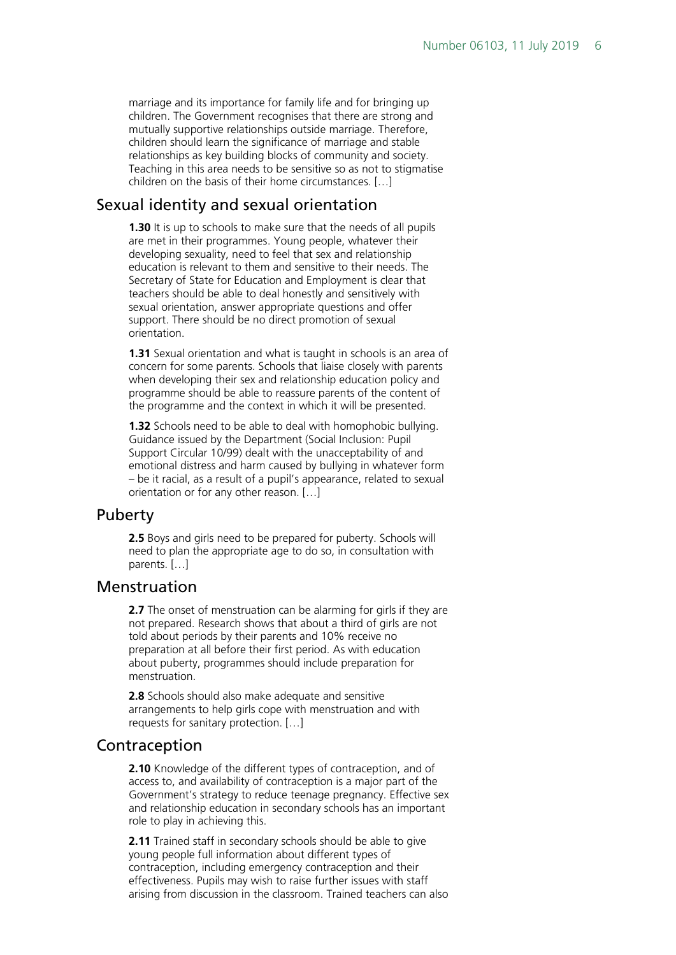marriage and its importance for family life and for bringing up children. The Government recognises that there are strong and mutually supportive relationships outside marriage. Therefore, children should learn the significance of marriage and stable relationships as key building blocks of community and society. Teaching in this area needs to be sensitive so as not to stigmatise children on the basis of their home circumstances. […]

#### Sexual identity and sexual orientation

**1.30** It is up to schools to make sure that the needs of all pupils are met in their programmes. Young people, whatever their developing sexuality, need to feel that sex and relationship education is relevant to them and sensitive to their needs. The Secretary of State for Education and Employment is clear that teachers should be able to deal honestly and sensitively with sexual orientation, answer appropriate questions and offer support. There should be no direct promotion of sexual orientation.

**1.31** Sexual orientation and what is taught in schools is an area of concern for some parents. Schools that liaise closely with parents when developing their sex and relationship education policy and programme should be able to reassure parents of the content of the programme and the context in which it will be presented.

**1.32** Schools need to be able to deal with homophobic bullying. Guidance issued by the Department (Social Inclusion: Pupil Support Circular 10/99) dealt with the unacceptability of and emotional distress and harm caused by bullying in whatever form – be it racial, as a result of a pupil's appearance, related to sexual orientation or for any other reason. […]

#### Puberty

**2.5** Boys and girls need to be prepared for puberty. Schools will need to plan the appropriate age to do so, in consultation with parents. […]

#### Menstruation

**2.7** The onset of menstruation can be alarming for girls if they are not prepared. Research shows that about a third of girls are not told about periods by their parents and 10% receive no preparation at all before their first period. As with education about puberty, programmes should include preparation for menstruation.

**2.8** Schools should also make adequate and sensitive arrangements to help girls cope with menstruation and with requests for sanitary protection. […]

#### Contraception

**2.10** Knowledge of the different types of contraception, and of access to, and availability of contraception is a major part of the Government's strategy to reduce teenage pregnancy. Effective sex and relationship education in secondary schools has an important role to play in achieving this.

**2.11** Trained staff in secondary schools should be able to give young people full information about different types of contraception, including emergency contraception and their effectiveness. Pupils may wish to raise further issues with staff arising from discussion in the classroom. Trained teachers can also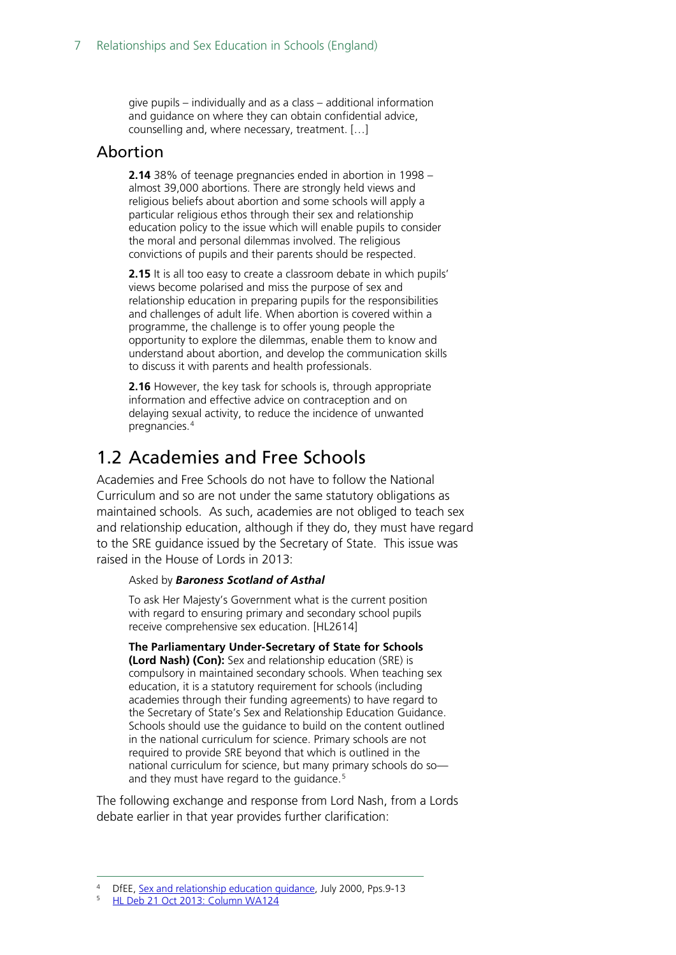give pupils – individually and as a class – additional information and guidance on where they can obtain confidential advice, counselling and, where necessary, treatment. […]

#### Abortion

**2.14** 38% of teenage pregnancies ended in abortion in 1998 – almost 39,000 abortions. There are strongly held views and religious beliefs about abortion and some schools will apply a particular religious ethos through their sex and relationship education policy to the issue which will enable pupils to consider the moral and personal dilemmas involved. The religious convictions of pupils and their parents should be respected.

**2.15** It is all too easy to create a classroom debate in which pupils' views become polarised and miss the purpose of sex and relationship education in preparing pupils for the responsibilities and challenges of adult life. When abortion is covered within a programme, the challenge is to offer young people the opportunity to explore the dilemmas, enable them to know and understand about abortion, and develop the communication skills to discuss it with parents and health professionals.

**2.16** However, the key task for schools is, through appropriate information and effective advice on contraception and on delaying sexual activity, to reduce the incidence of unwanted pregnancies.[4](#page-6-1)

### <span id="page-6-0"></span>1.2 Academies and Free Schools

Academies and Free Schools do not have to follow the National Curriculum and so are not under the same statutory obligations as maintained schools. As such, academies are not obliged to teach sex and relationship education, although if they do, they must have regard to the SRE guidance issued by the Secretary of State. This issue was raised in the House of Lords in 2013:

#### Asked by *Baroness Scotland of Asthal*

To ask Her Majesty's Government what is the current position with regard to ensuring primary and secondary school pupils receive comprehensive sex education. [HL2614]

**The Parliamentary Under-Secretary of State for Schools (Lord Nash) (Con):** Sex and relationship education (SRE) is compulsory in maintained secondary schools. When teaching sex education, it is a statutory requirement for schools (including academies through their funding agreements) to have regard to the Secretary of State's Sex and Relationship Education Guidance. Schools should use the guidance to build on the content outlined in the national curriculum for science. Primary schools are not required to provide SRE beyond that which is outlined in the national curriculum for science, but many primary schools do so— and they must have regard to the guidance.<sup>[5](#page-6-2)</sup>

The following exchange and response from Lord Nash, from a Lords debate earlier in that year provides further clarification:

<span id="page-6-1"></span>DfEE, [Sex and relationship education guidance,](https://www.gov.uk/government/uploads/system/uploads/attachment_data/file/283599/sex_and_relationship_education_guidance.pdf) July 2000, Pps.9-13

<span id="page-6-2"></span><sup>5</sup> HL Deb 21 [Oct 2013: Column WA124](http://www.publications.parliament.uk/pa/ld201314/ldhansrd/text/131021w0001.htm#13102118000503)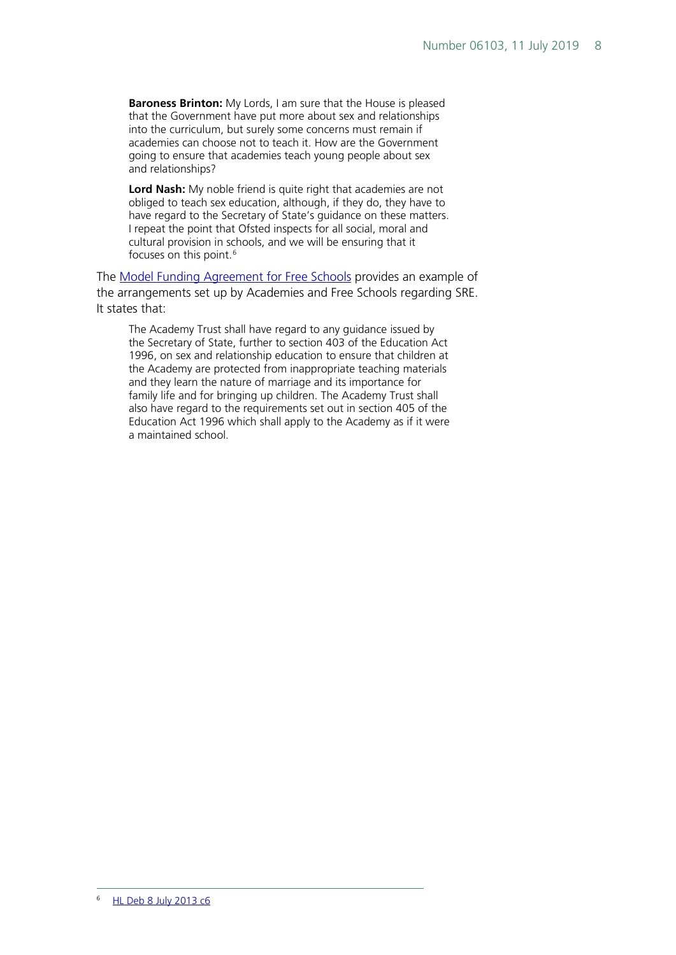**Baroness Brinton:** My Lords, I am sure that the House is pleased that the Government have put more about sex and relationships into the curriculum, but surely some concerns must remain if academies can choose not to teach it. How are the Government going to ensure that academies teach young people about sex and relationships?

**Lord Nash:** My noble friend is quite right that academies are not obliged to teach sex education, although, if they do, they have to have regard to the Secretary of State's guidance on these matters. I repeat the point that Ofsted inspects for all social, moral and cultural provision in schools, and we will be ensuring that it focuses on this point.<sup>[6](#page-7-0)</sup>

The [Model Funding Agreement for Free Schools](http://media.education.gov.uk/assets/files/pdf/m/mainstream%20free%20school%20model%20funding%20agreement%20-%20june%202013.pdf) provides an example of the arrangements set up by Academies and Free Schools regarding SRE. It states that:

<span id="page-7-0"></span>The Academy Trust shall have regard to any guidance issued by the Secretary of State, further to section 403 of the Education Act 1996, on sex and relationship education to ensure that children at the Academy are protected from inappropriate teaching materials and they learn the nature of marriage and its importance for family life and for bringing up children. The Academy Trust shall also have regard to the requirements set out in section 405 of the Education Act 1996 which shall apply to the Academy as if it were a maintained school.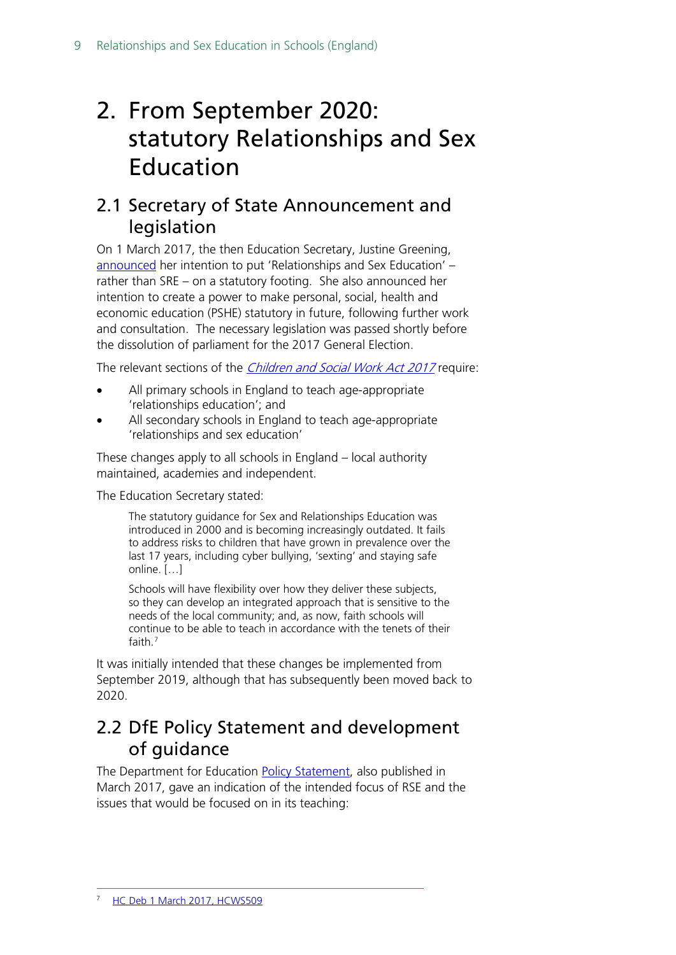## <span id="page-8-0"></span>2. From September 2020: statutory Relationships and Sex Education

### <span id="page-8-1"></span>2.1 Secretary of State Announcement and legislation

On 1 March 2017, the then Education Secretary, Justine Greening, [announced](http://www.parliament.uk/business/publications/written-questions-answers-statements/written-statement/Commons/2017-03-01/HCWS509/) her intention to put 'Relationships and Sex Education' – rather than SRE – on a statutory footing. She also announced her intention to create a power to make personal, social, health and economic education (PSHE) statutory in future, following further work and consultation. The necessary legislation was passed shortly before the dissolution of parliament for the 2017 General Election.

The relevant sections of the *[Children and Social Work Act 2017](http://www.legislation.gov.uk/ukpga/2017/16/contents/enacted)* require:

- All primary schools in England to teach age-appropriate 'relationships education'; and
- All secondary schools in England to teach age-appropriate 'relationships and sex education'

These changes apply to all schools in England – local authority maintained, academies and independent.

The Education Secretary stated:

The statutory guidance for Sex and Relationships Education was introduced in 2000 and is becoming increasingly outdated. It fails to address risks to children that have grown in prevalence over the last 17 years, including cyber bullying, 'sexting' and staying safe online. […]

Schools will have flexibility over how they deliver these subjects, so they can develop an integrated approach that is sensitive to the needs of the local community; and, as now, faith schools will continue to be able to teach in accordance with the tenets of their faith.[7](#page-8-3)

It was initially intended that these changes be implemented from September 2019, although that has subsequently been moved back to 2020.

### <span id="page-8-2"></span>2.2 DfE Policy Statement and development of guidance

<span id="page-8-3"></span>The Department for Education [Policy Statement,](http://data.parliament.uk/DepositedPapers/Files/DEP2017-0191/170301_Policy_statement_gov.uk_template_FINAL.PDF) also published in March 2017, gave an indication of the intended focus of RSE and the issues that would be focused on in its teaching: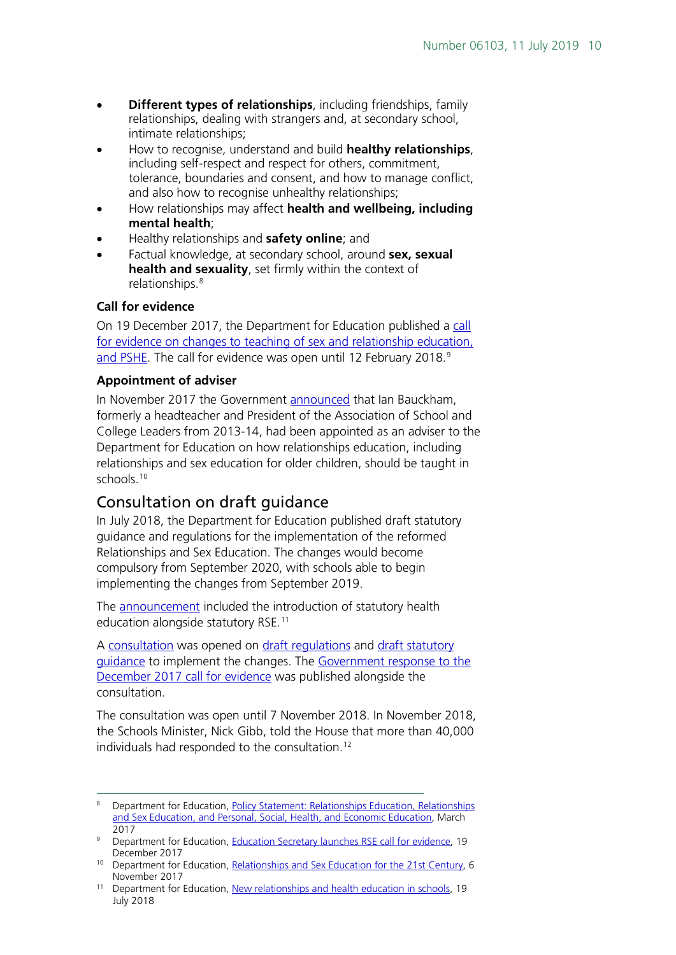- **Different types of relationships**, including friendships, family relationships, dealing with strangers and, at secondary school, intimate relationships;
- How to recognise, understand and build **healthy relationships**, including self-respect and respect for others, commitment, tolerance, boundaries and consent, and how to manage conflict, and also how to recognise unhealthy relationships;
- How relationships may affect **health and wellbeing, including mental health**;
- Healthy relationships and **safety online**; and
- Factual knowledge, at secondary school, around **sex, sexual health and sexuality**, set firmly within the context of relationships.[8](#page-9-1)

#### **Call for evidence**

On 19 December 2017, the Department for Education published a call [for evidence on changes to teaching of sex and relationship education,](https://www.gov.uk/government/news/education-secretary-launches-rse-call-for-evidence)  [and PSHE.](https://www.gov.uk/government/news/education-secretary-launches-rse-call-for-evidence) The call for evidence was open until 12 February 2018.<sup>[9](#page-9-2)</sup>

#### **Appointment of adviser**

In November 2017 the Government [announced](https://www.gov.uk/government/news/relationships-and-sex-education-for-the-21st-century) that Ian Bauckham, formerly a headteacher and President of the Association of School and College Leaders from 2013-14, had been appointed as an adviser to the Department for Education on how relationships education, including relationships and sex education for older children, should be taught in schools. [10](#page-9-3)

#### <span id="page-9-0"></span>Consultation on draft guidance

In July 2018, the Department for Education published draft statutory guidance and regulations for the implementation of the reformed Relationships and Sex Education. The changes would become compulsory from September 2020, with schools able to begin implementing the changes from September 2019.

The [announcement](https://www.gov.uk/government/news/new-relationships-and-health-education-in-schools) included the introduction of statutory health education alongside statutory RSE.[11](#page-9-4)

A [consultation](https://consult.education.gov.uk/pshe/relationships-education-rse-health-education/) was opened on [draft regulations](https://consult.education.gov.uk/pshe/relationships-education-rse-health-education/supporting_documents/Draft%20Regulations%201.0%20for%20HAC.pdf) and [draft statutory](https://consult.education.gov.uk/pshe/relationships-education-rse-health-education/supporting_documents/20170718_%20Draft%20guidance%20for%20consultation.pdf)  [guidance](https://consult.education.gov.uk/pshe/relationships-education-rse-health-education/supporting_documents/20170718_%20Draft%20guidance%20for%20consultation.pdf) to implement the changes. The [Government response to the](https://consult.education.gov.uk/pshe/relationships-education-rse-health-education/supporting_documents/180718%20Consultation_call%20for%20evidence%20response_policy%20statement.pdf)  [December 2017 call for evidence](https://consult.education.gov.uk/pshe/relationships-education-rse-health-education/supporting_documents/180718%20Consultation_call%20for%20evidence%20response_policy%20statement.pdf) was published alongside the consultation.

The consultation was open until 7 November 2018. In November 2018, the Schools Minister, Nick Gibb, told the House that more than 40,000 individuals had responded to the consultation.[12](#page-9-2)

<span id="page-9-1"></span> <sup>8</sup> Department for Education, [Policy Statement: Relationships Education, Relationships](http://data.parliament.uk/DepositedPapers/Files/DEP2017-0191/170301_Policy_statement_gov.uk_template_FINAL.PDF)  [and Sex Education, and Personal, Social, Health, and Economic Education,](http://data.parliament.uk/DepositedPapers/Files/DEP2017-0191/170301_Policy_statement_gov.uk_template_FINAL.PDF) March 2017

<span id="page-9-2"></span><sup>&</sup>lt;sup>9</sup> Department for Education, [Education Secretary launches RSE call for evidence,](https://www.gov.uk/government/news/education-secretary-launches-rse-call-for-evidence) 19 December 2017

<span id="page-9-3"></span><sup>&</sup>lt;sup>10</sup> Department for Education, [Relationships and Sex Education for the 21st Century,](https://www.gov.uk/government/news/relationships-and-sex-education-for-the-21st-century) 6 November 2017

<span id="page-9-4"></span><sup>&</sup>lt;sup>11</sup> Department for Education, [New relationships and health education in schools,](https://www.gov.uk/government/news/new-relationships-and-health-education-in-schools) 19 July 2018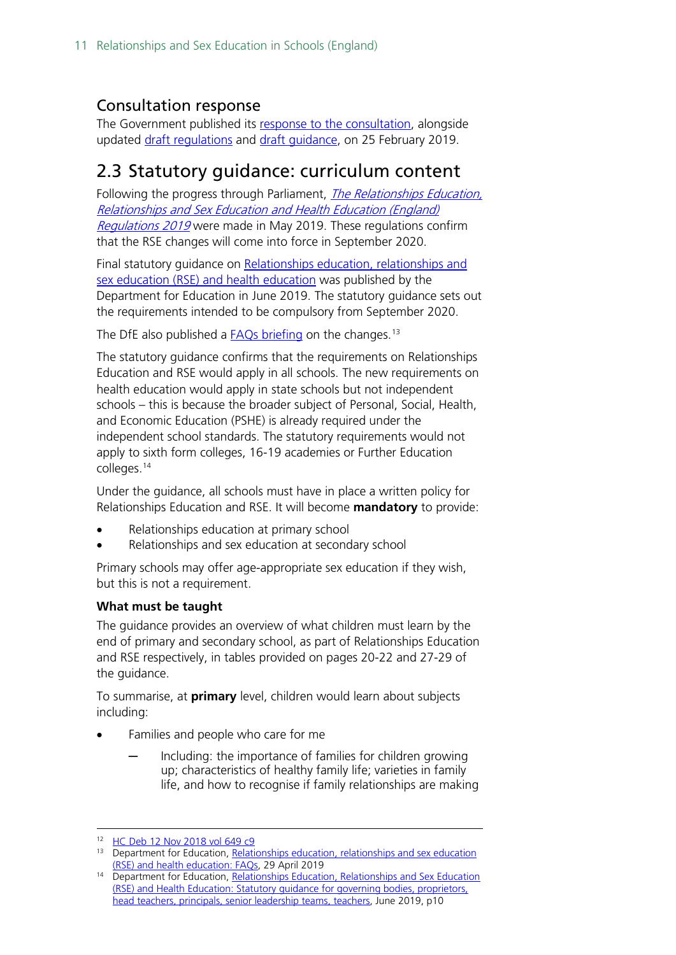### <span id="page-10-0"></span>Consultation response

The Government published its [response to the consultation,](https://www.gov.uk/government/consultations/relationships-and-sex-education-and-health-education) alongside updated [draft regulations](https://assets.publishing.service.gov.uk/government/uploads/system/uploads/attachment_data/file/780972/updated_draft_regulations_-_Relationships_education__relationships_and_sex_education_and_health_education.pdf) and [draft guidance,](https://assets.publishing.service.gov.uk/government/uploads/system/uploads/attachment_data/file/781150/Draft_guidance_Relationships_Education__Relationships_and_Sex_Education__RSE__and_Health_Education2.pdf) on 25 February 2019.

### <span id="page-10-1"></span>2.3 Statutory guidance: curriculum content

Following the progress through Parliament, *The Relationships Education*, [Relationships and Sex Education and Health Education \(England\)](http://www.legislation.gov.uk/uksi/2019/924/introduction/made)  [Regulations 2019](http://www.legislation.gov.uk/uksi/2019/924/introduction/made) were made in May 2019. These regulations confirm that the RSE changes will come into force in September 2020.

Final statutory guidance on Relationships education, relationships and [sex education \(RSE\) and health education](https://www.gov.uk/government/publications/relationships-education-relationships-and-sex-education-rse-and-health-education) was published by the Department for Education in June 2019. The statutory guidance sets out the requirements intended to be compulsory from September 2020.

The DfE also published a **FAQs** briefing on the changes.<sup>[13](#page-10-2)</sup>

The statutory guidance confirms that the requirements on Relationships Education and RSE would apply in all schools. The new requirements on health education would apply in state schools but not independent schools – this is because the broader subject of Personal, Social, Health, and Economic Education (PSHE) is already required under the independent school standards. The statutory requirements would not apply to sixth form colleges, 16-19 academies or Further Education colleges.<sup>[14](#page-10-3)</sup>

Under the guidance, all schools must have in place a written policy for Relationships Education and RSE. It will become **mandatory** to provide:

- Relationships education at primary school
- Relationships and sex education at secondary school

Primary schools may offer age-appropriate sex education if they wish, but this is not a requirement.

#### **What must be taught**

The guidance provides an overview of what children must learn by the end of primary and secondary school, as part of Relationships Education and RSE respectively, in tables provided on pages 20-22 and 27-29 of the guidance.

To summarise, at **primary** level, children would learn about subjects including:

- Families and people who care for me
	- Including: the importance of families for children growing up; characteristics of healthy family life; varieties in family life, and how to recognise if family relationships are making

 <sup>12</sup> [HC Deb 12 Nov 2018 vol 649 c9](https://hansard.parliament.uk/commons/2018-11-12/debates/BA45E3C1-2801-4332-97F7-47449054E3BE/RelationshipsAndSexEducation)

<span id="page-10-2"></span><sup>13</sup> Department for Education, Relationships education, relationships and sex education [\(RSE\) and health education: FAQs,](https://www.gov.uk/government/news/relationships-education-relationships-and-sex-education-rse-and-health-education-faqs) 29 April 2019

<span id="page-10-3"></span><sup>&</sup>lt;sup>14</sup> Department for Education, Relationships Education, Relationships and Sex Education (RSE) and Health Education: [Statutory guidance for governing bodies, proprietors,](https://assets.publishing.service.gov.uk/government/uploads/system/uploads/attachment_data/file/805781/Relationships_Education__Relationships_and_Sex_Education__RSE__and_Health_Education.pdf)  [head teachers, principals, senior leadership teams, teachers,](https://assets.publishing.service.gov.uk/government/uploads/system/uploads/attachment_data/file/805781/Relationships_Education__Relationships_and_Sex_Education__RSE__and_Health_Education.pdf) June 2019, p10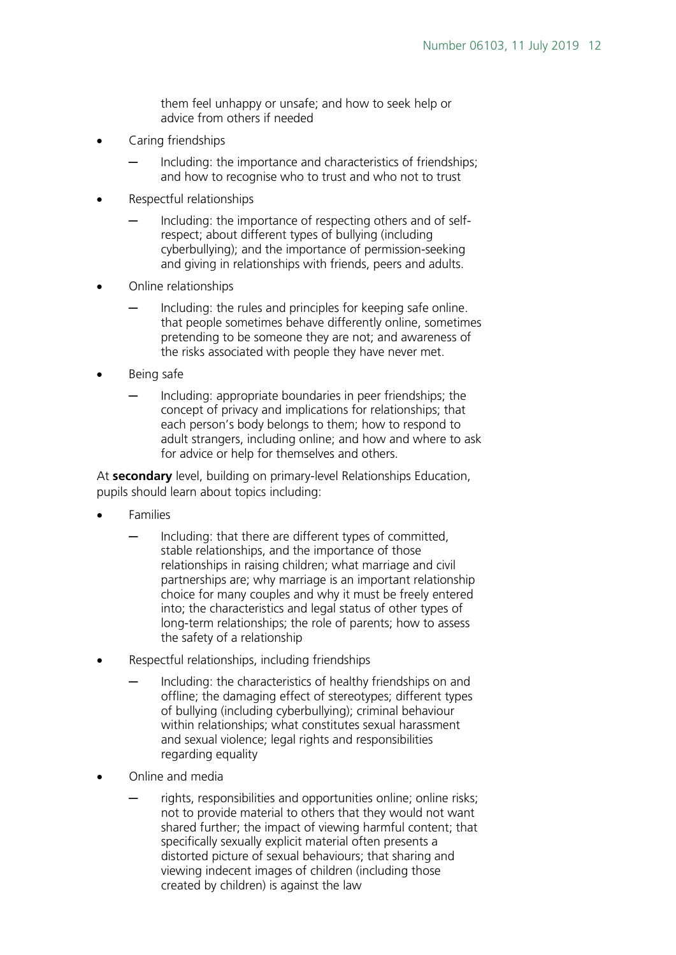them feel unhappy or unsafe; and how to seek help or advice from others if needed

- Caring friendships
	- Including: the importance and characteristics of friendships; and how to recognise who to trust and who not to trust
- Respectful relationships
	- Including: the importance of respecting others and of selfrespect; about different types of bullying (including cyberbullying); and the importance of permission-seeking and giving in relationships with friends, peers and adults.
- Online relationships
	- Including: the rules and principles for keeping safe online. that people sometimes behave differently online, sometimes pretending to be someone they are not; and awareness of the risks associated with people they have never met.
- Being safe
	- Including: appropriate boundaries in peer friendships; the concept of privacy and implications for relationships; that each person's body belongs to them; how to respond to adult strangers, including online; and how and where to ask for advice or help for themselves and others.

At **secondary** level, building on primary-level Relationships Education, pupils should learn about topics including:

- Families
	- Including: that there are different types of committed, stable relationships, and the importance of those relationships in raising children; what marriage and civil partnerships are; why marriage is an important relationship choice for many couples and why it must be freely entered into; the characteristics and legal status of other types of long-term relationships; the role of parents; how to assess the safety of a relationship
- Respectful relationships, including friendships
	- Including: the characteristics of healthy friendships on and offline; the damaging effect of stereotypes; different types of bullying (including cyberbullying); criminal behaviour within relationships; what constitutes sexual harassment and sexual violence; legal rights and responsibilities regarding equality
- Online and media
	- rights, responsibilities and opportunities online; online risks; not to provide material to others that they would not want shared further; the impact of viewing harmful content; that specifically sexually explicit material often presents a distorted picture of sexual behaviours; that sharing and viewing indecent images of children (including those created by children) is against the law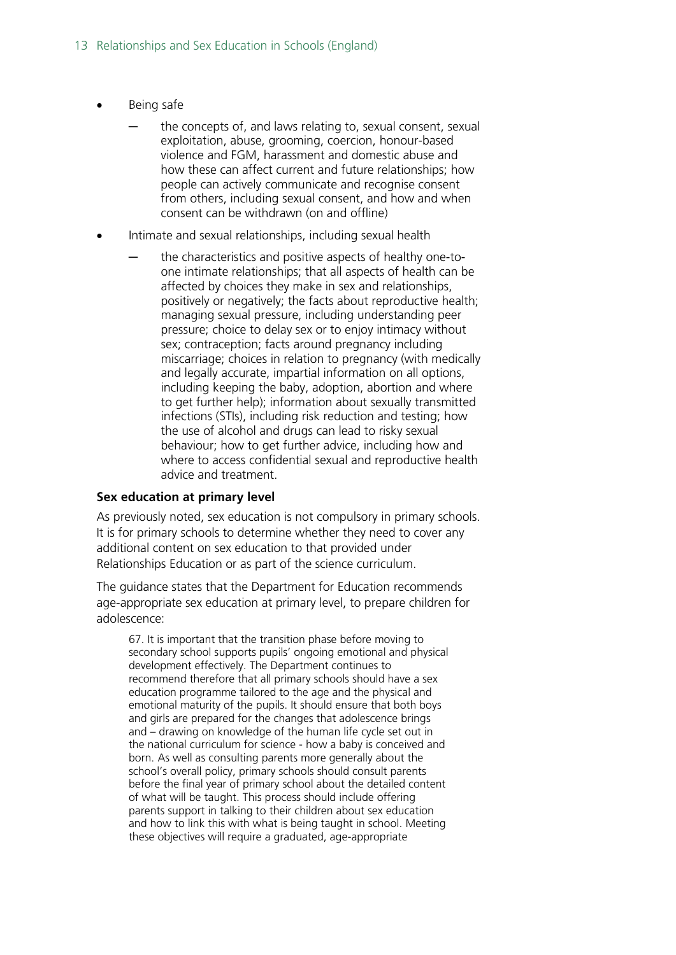- Being safe
	- the concepts of, and laws relating to, sexual consent, sexual exploitation, abuse, grooming, coercion, honour-based violence and FGM, harassment and domestic abuse and how these can affect current and future relationships; how people can actively communicate and recognise consent from others, including sexual consent, and how and when consent can be withdrawn (on and offline)
- Intimate and sexual relationships, including sexual health
	- the characteristics and positive aspects of healthy one-toone intimate relationships; that all aspects of health can be affected by choices they make in sex and relationships, positively or negatively; the facts about reproductive health; managing sexual pressure, including understanding peer pressure; choice to delay sex or to enjoy intimacy without sex; contraception; facts around pregnancy including miscarriage; choices in relation to pregnancy (with medically and legally accurate, impartial information on all options, including keeping the baby, adoption, abortion and where to get further help); information about sexually transmitted infections (STIs), including risk reduction and testing; how the use of alcohol and drugs can lead to risky sexual behaviour; how to get further advice, including how and where to access confidential sexual and reproductive health advice and treatment.

#### **Sex education at primary level**

As previously noted, sex education is not compulsory in primary schools. It is for primary schools to determine whether they need to cover any additional content on sex education to that provided under Relationships Education or as part of the science curriculum.

The guidance states that the Department for Education recommends age-appropriate sex education at primary level, to prepare children for adolescence:

67. It is important that the transition phase before moving to secondary school supports pupils' ongoing emotional and physical development effectively. The Department continues to recommend therefore that all primary schools should have a sex education programme tailored to the age and the physical and emotional maturity of the pupils. It should ensure that both boys and girls are prepared for the changes that adolescence brings and – drawing on knowledge of the human life cycle set out in the national curriculum for science - how a baby is conceived and born. As well as consulting parents more generally about the school's overall policy, primary schools should consult parents before the final year of primary school about the detailed content of what will be taught. This process should include offering parents support in talking to their children about sex education and how to link this with what is being taught in school. Meeting these objectives will require a graduated, age-appropriate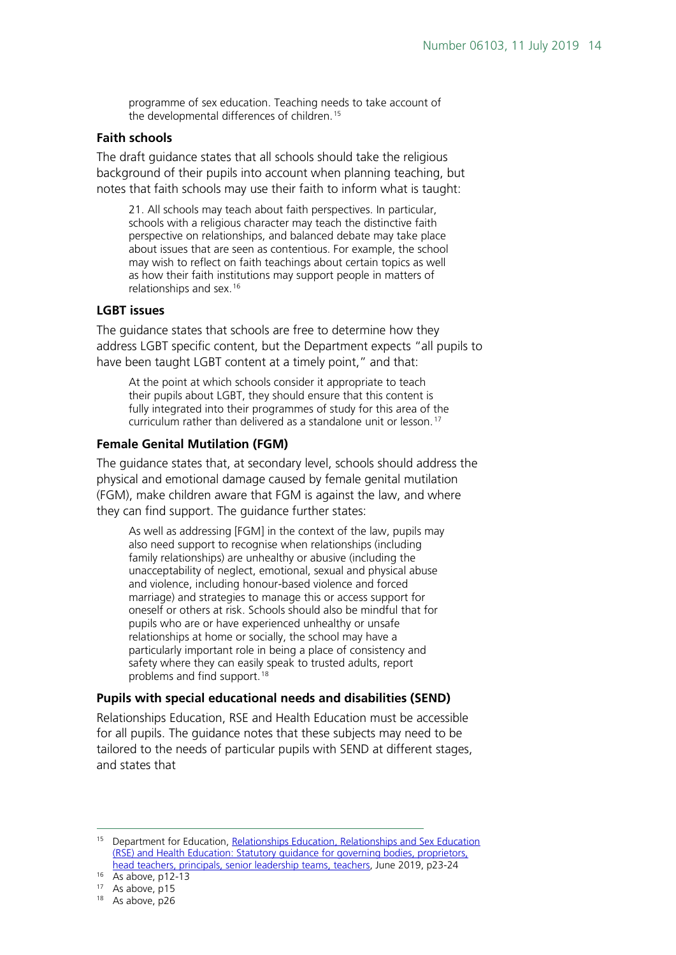programme of sex education. Teaching needs to take account of the developmental differences of children. [15](#page-13-0)

#### **Faith schools**

The draft guidance states that all schools should take the religious background of their pupils into account when planning teaching, but notes that faith schools may use their faith to inform what is taught:

21. All schools may teach about faith perspectives. In particular, schools with a religious character may teach the distinctive faith perspective on relationships, and balanced debate may take place about issues that are seen as contentious. For example, the school may wish to reflect on faith teachings about certain topics as well as how their faith institutions may support people in matters of relationships and sex. [16](#page-13-1)

#### **LGBT issues**

The guidance states that schools are free to determine how they address LGBT specific content, but the Department expects "all pupils to have been taught LGBT content at a timely point," and that:

At the point at which schools consider it appropriate to teach their pupils about LGBT, they should ensure that this content is fully integrated into their programmes of study for this area of the curriculum rather than delivered as a standalone unit or lesson.<sup>[17](#page-13-2)</sup>

#### **Female Genital Mutilation (FGM)**

The guidance states that, at secondary level, schools should address the physical and emotional damage caused by female genital mutilation (FGM), make children aware that FGM is against the law, and where they can find support. The guidance further states:

As well as addressing [FGM] in the context of the law, pupils may also need support to recognise when relationships (including family relationships) are unhealthy or abusive (including the unacceptability of neglect, emotional, sexual and physical abuse and violence, including honour-based violence and forced marriage) and strategies to manage this or access support for oneself or others at risk. Schools should also be mindful that for pupils who are or have experienced unhealthy or unsafe relationships at home or socially, the school may have a particularly important role in being a place of consistency and safety where they can easily speak to trusted adults, report problems and find support. [18](#page-13-3)

#### **Pupils with special educational needs and disabilities (SEND)**

Relationships Education, RSE and Health Education must be accessible for all pupils. The guidance notes that these subjects may need to be tailored to the needs of particular pupils with SEND at different stages, and states that

<span id="page-13-0"></span><sup>&</sup>lt;sup>15</sup> Department for Education, Relationships Education, Relationships and Sex Education (RSE) and Health Education: [Statutory guidance for governing bodies, proprietors,](https://assets.publishing.service.gov.uk/government/uploads/system/uploads/attachment_data/file/781150/Draft_guidance_Relationships_Education__Relationships_and_Sex_Education__RSE__and_Health_Education2.pdf)  [head teachers, principals, senior leadership teams, teachers,](https://assets.publishing.service.gov.uk/government/uploads/system/uploads/attachment_data/file/781150/Draft_guidance_Relationships_Education__Relationships_and_Sex_Education__RSE__and_Health_Education2.pdf) June 2019, p23-24

 $16$  As above, p12-13

<span id="page-13-2"></span><span id="page-13-1"></span><sup>&</sup>lt;sup>17</sup> As above, p15

<span id="page-13-3"></span><sup>&</sup>lt;sup>18</sup> As above, p26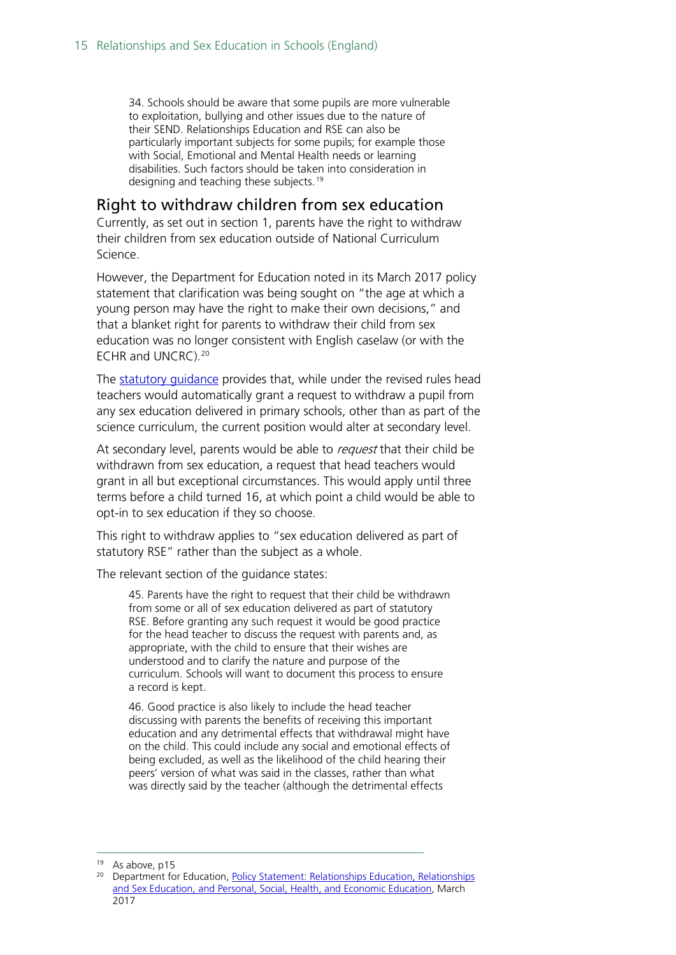34. Schools should be aware that some pupils are more vulnerable to exploitation, bullying and other issues due to the nature of their SEND. Relationships Education and RSE can also be particularly important subjects for some pupils; for example those with Social, Emotional and Mental Health needs or learning disabilities. Such factors should be taken into consideration in designing and teaching these subjects. [19](#page-14-1)

#### <span id="page-14-0"></span>Right to withdraw children from sex education

Currently, as set out in section 1, parents have the right to withdraw their children from sex education outside of National Curriculum Science.

However, the Department for Education noted in its March 2017 policy statement that clarification was being sought on "the age at which a young person may have the right to make their own decisions," and that a blanket right for parents to withdraw their child from sex education was no longer consistent with English caselaw (or with the ECHR and UNCRC).[20](#page-14-2)

The [statutory guidance](https://www.gov.uk/government/publications/relationships-education-relationships-and-sex-education-rse-and-health-education) provides that, while under the revised rules head teachers would automatically grant a request to withdraw a pupil from any sex education delivered in primary schools, other than as part of the science curriculum, the current position would alter at secondary level.

At secondary level, parents would be able to request that their child be withdrawn from sex education, a request that head teachers would grant in all but exceptional circumstances. This would apply until three terms before a child turned 16, at which point a child would be able to opt-in to sex education if they so choose.

This right to withdraw applies to "sex education delivered as part of statutory RSE" rather than the subject as a whole.

The relevant section of the guidance states:

45. Parents have the right to request that their child be withdrawn from some or all of sex education delivered as part of statutory RSE. Before granting any such request it would be good practice for the head teacher to discuss the request with parents and, as appropriate, with the child to ensure that their wishes are understood and to clarify the nature and purpose of the curriculum. Schools will want to document this process to ensure a record is kept.

46. Good practice is also likely to include the head teacher discussing with parents the benefits of receiving this important education and any detrimental effects that withdrawal might have on the child. This could include any social and emotional effects of being excluded, as well as the likelihood of the child hearing their peers' version of what was said in the classes, rather than what was directly said by the teacher (although the detrimental effects

<span id="page-14-1"></span><sup>&</sup>lt;sup>19</sup> As above, p15

<span id="page-14-2"></span><sup>&</sup>lt;sup>20</sup> Department for Education, Policy Statement: Relationships Education, Relationships [and Sex Education, and Personal, Social, Health, and Economic Education,](http://data.parliament.uk/DepositedPapers/Files/DEP2017-0191/170301_Policy_statement_gov.uk_template_FINAL.PDF) March 2017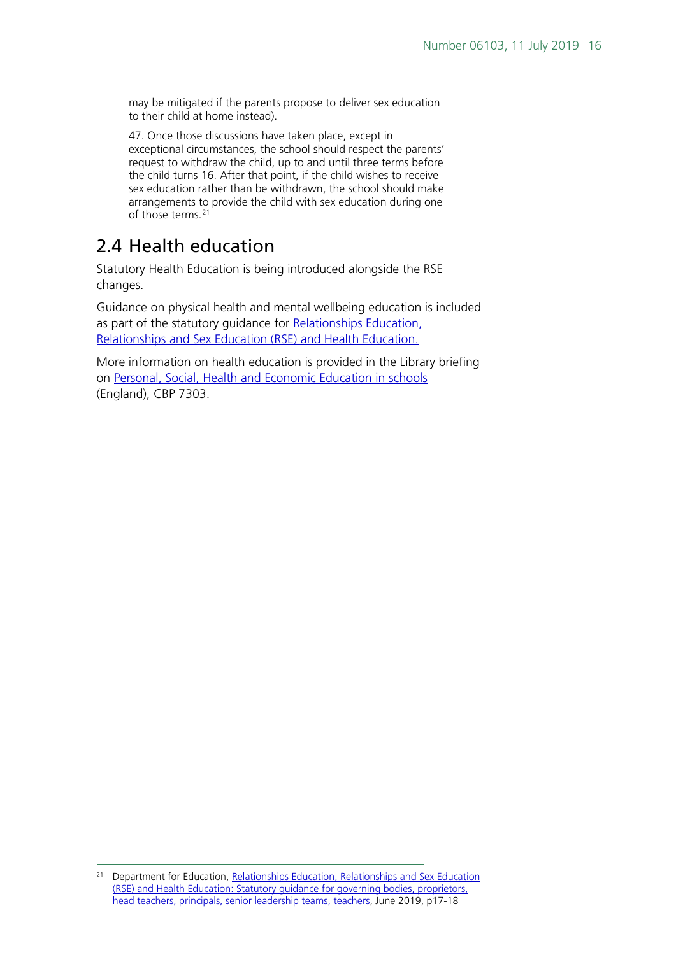may be mitigated if the parents propose to deliver sex education to their child at home instead).

47. Once those discussions have taken place, except in exceptional circumstances, the school should respect the parents' request to withdraw the child, up to and until three terms before the child turns 16. After that point, if the child wishes to receive sex education rather than be withdrawn, the school should make arrangements to provide the child with sex education during one of those terms.<sup>[21](#page-15-1)</sup>

### <span id="page-15-0"></span>2.4 Health education

Statutory Health Education is being introduced alongside the RSE changes.

Guidance on physical health and mental wellbeing education is included as part of the statutory guidance for Relationships Education, [Relationships and Sex Education \(RSE\) and Health Education.](https://www.gov.uk/government/publications/relationships-education-relationships-and-sex-education-rse-and-health-education)

More information on health education is provided in the Library briefing on [Personal, Social, Health and Economic Education in schools](https://researchbriefingsintranet.parliament.uk/ResearchBriefing/Summary/CBP-7303) (England), CBP 7303.

<span id="page-15-1"></span><sup>&</sup>lt;sup>21</sup> Department for Education, Relationships Education, Relationships and Sex Education (RSE) and Health Education: [Statutory guidance for governing bodies, proprietors,](https://www.gov.uk/government/publications/relationships-education-relationships-and-sex-education-rse-and-health-education)  [head teachers, principals, senior leadership teams, teachers,](https://www.gov.uk/government/publications/relationships-education-relationships-and-sex-education-rse-and-health-education) June 2019, p17-18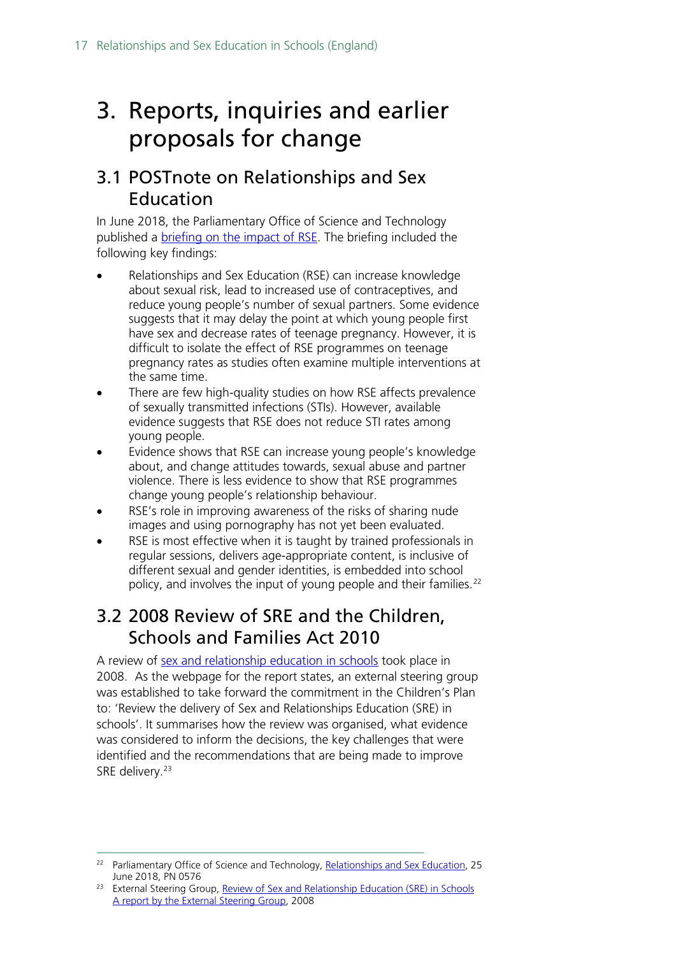## <span id="page-16-0"></span>3. Reports, inquiries and earlier proposals for change

### <span id="page-16-1"></span>3.1 POSTnote on Relationships and Sex Education

In June 2018, the Parliamentary Office of Science and Technology published a **briefing on the impact of RSE**. The briefing included the following key findings:

- Relationships and Sex Education (RSE) can increase knowledge about sexual risk, lead to increased use of contraceptives, and reduce young people's number of sexual partners. Some evidence suggests that it may delay the point at which young people first have sex and decrease rates of teenage pregnancy. However, it is difficult to isolate the effect of RSE programmes on teenage pregnancy rates as studies often examine multiple interventions at the same time.
- There are few high-quality studies on how RSE affects prevalence of sexually transmitted infections (STIs). However, available evidence suggests that RSE does not reduce STI rates among young people.
- Evidence shows that RSE can increase young people's knowledge about, and change attitudes towards, sexual abuse and partner violence. There is less evidence to show that RSE programmes change young people's relationship behaviour.
- RSE's role in improving awareness of the risks of sharing nude images and using pornography has not yet been evaluated.
- RSE is most effective when it is taught by trained professionals in regular sessions, delivers age-appropriate content, is inclusive of different sexual and gender identities, is embedded into school policy, and involves the input of young people and their families.<sup>[22](#page-16-3)</sup>

### <span id="page-16-2"></span>3.2 2008 Review of SRE and the Children, Schools and Families Act 2010

A review of [sex and relationship education in schools](http://webarchive.nationalarchives.gov.uk/20130401151715/) took place in 2008. As the webpage for the report states, an external steering group was established to take forward the commitment in the Children's Plan to: 'Review the delivery of Sex and Relationships Education (SRE) in schools'. It summarises how the review was organised, what evidence was considered to inform the decisions, the key challenges that were identified and the recommendations that are being made to improve SRE delivery.<sup>[23](#page-16-4)</sup>

<span id="page-16-3"></span><sup>&</sup>lt;sup>22</sup> Parliamentary Office of Science and Technology[, Relationships and Sex Education,](https://researchbriefings.parliament.uk/ResearchBriefing/Summary/POST-PN-0576) 25 June 2018, PN 0576

<span id="page-16-4"></span><sup>&</sup>lt;sup>23</sup> External Steering Group, Review of Sex and Relationship Education (SRE) in Schools [A report by the External Steering Group,](http://webarchive.nationalarchives.gov.uk/20130401151715/http:/www.education.gov.uk/publications/eOrderingDownload/SRE-Review-2008.pdf) 2008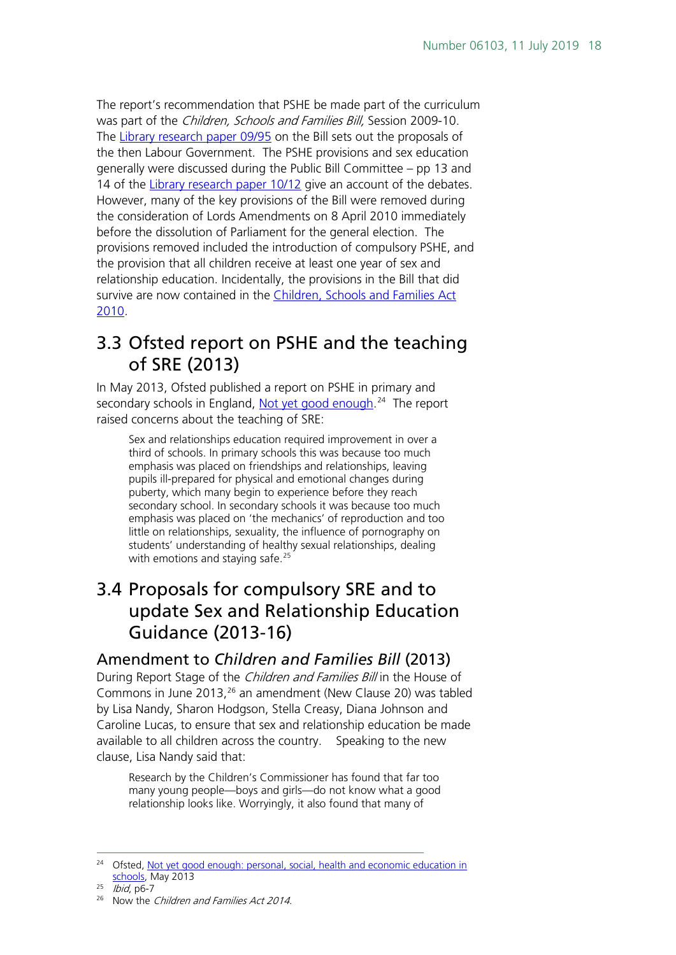The report's recommendation that PSHE be made part of the curriculum was part of the *Children, Schools and Families Bill*, Session 2009-10. The [Library research paper 09/95](http://www.parliament.uk/documents/commons/lib/research/rp2009/rp09-095.pdf) on the Bill sets out the proposals of the then Labour Government. The PSHE provisions and sex education generally were discussed during the Public Bill Committee – pp 13 and 14 of the [Library research paper 10/12](http://www.parliament.uk/documents/commons/lib/research/rp2010/rp10-012.pdf) give an account of the debates. However, many of the key provisions of the Bill were removed during the consideration of Lords Amendments on 8 April 2010 immediately before the dissolution of Parliament for the general election. The provisions removed included the introduction of compulsory PSHE, and the provision that all children receive at least one year of sex and relationship education. Incidentally, the provisions in the Bill that did survive are now contained in the [Children, Schools and Families Act](http://www.opsi.gov.uk/acts/acts2010/ukpga_20100026_en_1)  [2010](http://www.opsi.gov.uk/acts/acts2010/ukpga_20100026_en_1).

### <span id="page-17-0"></span>3.3 Ofsted report on PSHE and the teaching of SRE (2013)

In May 2013, Ofsted published a report on PSHE in primary and secondary schools in England, <u>Not yet good enough</u>.<sup>24</sup> The report raised concerns about the teaching of SRE:

Sex and relationships education required improvement in over a third of schools. In primary schools this was because too much emphasis was placed on friendships and relationships, leaving pupils ill-prepared for physical and emotional changes during puberty, which many begin to experience before they reach secondary school. In secondary schools it was because too much emphasis was placed on 'the mechanics' of reproduction and too little on relationships, sexuality, the influence of pornography on students' understanding of healthy sexual relationships, dealing with emotions and staying safe.<sup>[25](#page-17-4)</sup>

### <span id="page-17-1"></span>3.4 Proposals for compulsory SRE and to update Sex and Relationship Education Guidance (2013-16)

#### <span id="page-17-2"></span>Amendment to *Children and Families Bill* (2013)

During Report Stage of the *Children and Families Bill* in the House of Commons in June 2013, <sup>[26](#page-17-5)</sup> an amendment (New Clause 20) was tabled by Lisa Nandy, Sharon Hodgson, Stella Creasy, Diana Johnson and Caroline Lucas, to ensure that sex and relationship education be made available to all children across the country. Speaking to the new clause, Lisa Nandy said that:

Research by the Children's Commissioner has found that far too many young people—boys and girls—do not know what a good relationship looks like. Worryingly, it also found that many of

<span id="page-17-3"></span><sup>&</sup>lt;sup>24</sup> Ofsted, Not vet good enough: personal, social, health and economic education in [schools,](http://www.ofsted.gov.uk/resources/not-yet-good-enough-personal-social-health-and-economic-education-schools) May 2013

<span id="page-17-4"></span> $25$  *Ibid*, p6-7

<span id="page-17-5"></span><sup>&</sup>lt;sup>26</sup> Now the *Children and Families Act 2014*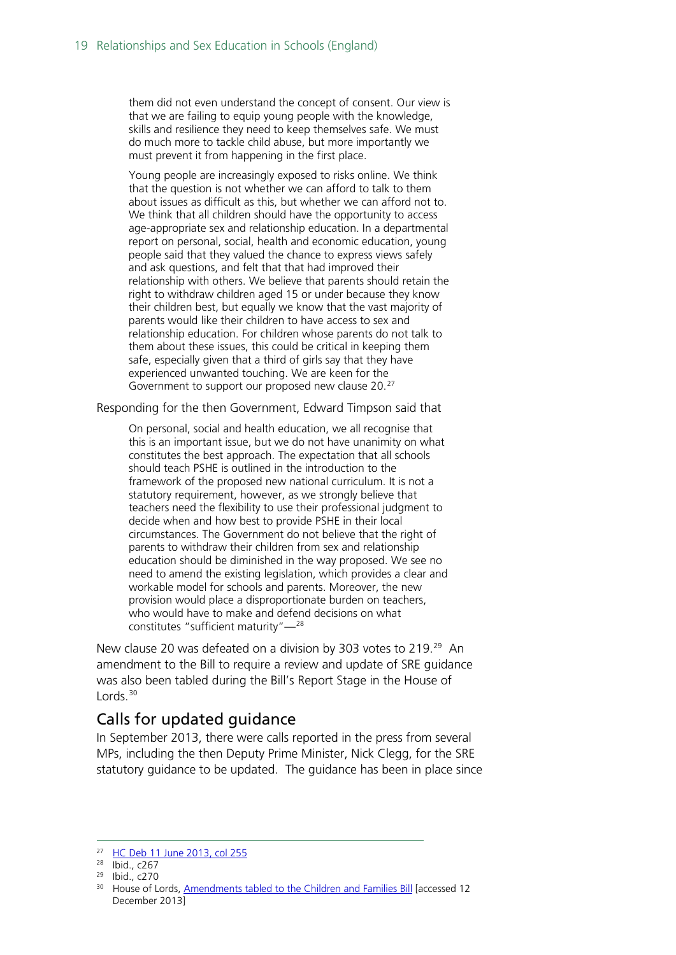them did not even understand the concept of consent. Our view is that we are failing to equip young people with the knowledge, skills and resilience they need to keep themselves safe. We must do much more to tackle child abuse, but more importantly we must prevent it from happening in the first place.

Young people are increasingly exposed to risks online. We think that the question is not whether we can afford to talk to them about issues as difficult as this, but whether we can afford not to. We think that all children should have the opportunity to access age-appropriate sex and relationship education. In a departmental report on personal, social, health and economic education, young people said that they valued the chance to express views safely and ask questions, and felt that that had improved their relationship with others. We believe that parents should retain the right to withdraw children aged 15 or under because they know their children best, but equally we know that the vast majority of parents would like their children to have access to sex and relationship education. For children whose parents do not talk to them about these issues, this could be critical in keeping them safe, especially given that a third of girls say that they have experienced unwanted touching. We are keen for the Government to support our proposed new clause 20.<sup>[27](#page-18-1)</sup>

Responding for the then Government, Edward Timpson said that

On personal, social and health education, we all recognise that this is an important issue, but we do not have unanimity on what constitutes the best approach. The expectation that all schools should teach PSHE is outlined in the introduction to the framework of the proposed new national curriculum. It is not a statutory requirement, however, as we strongly believe that teachers need the flexibility to use their professional judgment to decide when and how best to provide PSHE in their local circumstances. The Government do not believe that the right of parents to withdraw their children from sex and relationship education should be diminished in the way proposed. We see no need to amend the existing legislation, which provides a clear and workable model for schools and parents. Moreover, the new provision would place a disproportionate burden on teachers, who would have to make and defend decisions on what constitutes "sufficient maturity"—[28](#page-18-2)

New clause 20 was defeated on a division by 303 votes to 219.<sup>[29](#page-18-3)</sup> An amendment to the Bill to require a review and update of SRE guidance was also been tabled during the Bill's Report Stage in the House of  $L$ ords.<sup>[30](#page-18-4)</sup>

#### <span id="page-18-0"></span>Calls for updated guidance

In September 2013, there were calls reported in the press from several MPs, including the then Deputy Prime Minister, Nick Clegg, for the SRE statutory guidance to be updated. The guidance has been in place since

<span id="page-18-1"></span><sup>&</sup>lt;sup>27</sup> [HC Deb 11 June 2013, col 255](http://www.publications.parliament.uk/pa/cm201314/cmhansrd/cm130611/debtext/130611-0004.htm)

<span id="page-18-2"></span><sup>28</sup> Ibid., c267

<span id="page-18-3"></span><sup>29</sup> Ibid., c270

<span id="page-18-4"></span><sup>&</sup>lt;sup>30</sup> House of Lords, [Amendments tabled to the Children and Families Bill](http://www.publications.parliament.uk/pa/bills/lbill/2013-2014/0059/amend/am059-b.htm) [accessed 12 December 2013]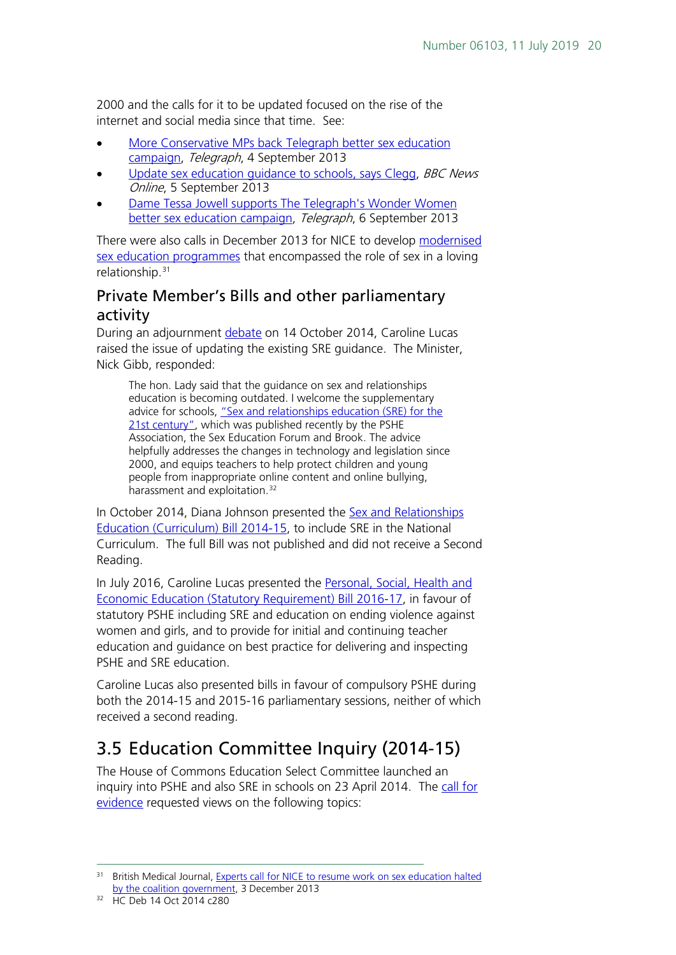2000 and the calls for it to be updated focused on the rise of the internet and social media since that time. See:

- [More Conservative MPs back Telegraph better sex education](http://www.telegraph.co.uk/women/sex/10286161/Sex-education-More-Tory-MPs-back-Telegraph-campaign.html)  [campaign,](http://www.telegraph.co.uk/women/sex/10286161/Sex-education-More-Tory-MPs-back-Telegraph-campaign.html) Telegraph, 4 September 2013
- Update sex education quidance to schools, says Clegg, BBC News Online, 5 September 2013
- [Dame Tessa Jowell supports The Telegraph's Wonder Women](http://www.telegraph.co.uk/women/sex/better-sex-education/10284828/Dame-Tessa-Jowell-supports-TheTelegraphs-Wonder-Women-better-sex-education-campaign.html)  [better sex education campaign,](http://www.telegraph.co.uk/women/sex/better-sex-education/10284828/Dame-Tessa-Jowell-supports-TheTelegraphs-Wonder-Women-better-sex-education-campaign.html) Telegraph, 6 September 2013

There were also calls in December 2013 for NICE to develop [modernised](http://www.bmj.com/content/347/bmj.f7217)  [sex education programmes](http://www.bmj.com/content/347/bmj.f7217) that encompassed the role of sex in a loving relationship.[31](#page-19-2)

### <span id="page-19-0"></span>Private Member's Bills and other parliamentary activity

During an adjournment [debate](http://www.publications.parliament.uk/pa/cm201415/cmhansrd/cm141014/debtext/141014-0004.htm#14101479000002) on 14 October 2014, Caroline Lucas raised the issue of updating the existing SRE guidance. The Minister, Nick Gibb, responded:

The hon. Lady said that the guidance on sex and relationships education is becoming outdated. I welcome the supplementary advice for schools, ["Sex and relationships education \(SRE\) for the](https://www.pshe-association.org.uk/resources_search_details.aspx?ResourceId=526)  [21st century",](https://www.pshe-association.org.uk/resources_search_details.aspx?ResourceId=526) which was published recently by the PSHE Association, the Sex Education Forum and Brook. The advice helpfully addresses the changes in technology and legislation since 2000, and equips teachers to help protect children and young people from inappropriate online content and online bullying, harassment and exploitation.<sup>[32](#page-19-3)</sup>

In October 2014, Diana Johnson presented the **Sex and Relationships** [Education \(Curriculum\) Bill 2014-15,](http://services.parliament.uk/bills/2014-15/sexandrelationshipseducationcurriculum.html) to include SRE in the National Curriculum. The full Bill was not published and did not receive a Second Reading.

In July 2016, Caroline Lucas presented the [Personal, Social, Health and](http://services.parliament.uk/bills/2016-17/personalsocialhealthandeconomiceducationstatutoryrequirement.html)  [Economic Education \(Statutory Requirement\) Bill 2016-17,](http://services.parliament.uk/bills/2016-17/personalsocialhealthandeconomiceducationstatutoryrequirement.html) in favour of statutory PSHE including SRE and education on ending violence against women and girls, and to provide for initial and continuing teacher education and guidance on best practice for delivering and inspecting PSHE and SRE education.

Caroline Lucas also presented bills in favour of compulsory PSHE during both the 2014-15 and 2015-16 parliamentary sessions, neither of which received a second reading.

### <span id="page-19-1"></span>3.5 Education Committee Inquiry (2014-15)

The House of Commons Education Select Committee launched an inquiry into PSHE and also SRE in schools on 23 April 2014. The call for [evidence](http://www.parliament.uk/business/committees/committees-a-z/commons-select/education-committee/news/pshe-and-sre-tor/) requested views on the following topics:

<span id="page-19-2"></span><sup>&</sup>lt;sup>31</sup> British Medical Journal, Experts call for NICE to resume work on sex education halted [by the coalition government,](http://www.bmj.com/content/347/bmj.f7217) 3 December 2013

<span id="page-19-3"></span><sup>32</sup> HC Deb 14 Oct 2014 c280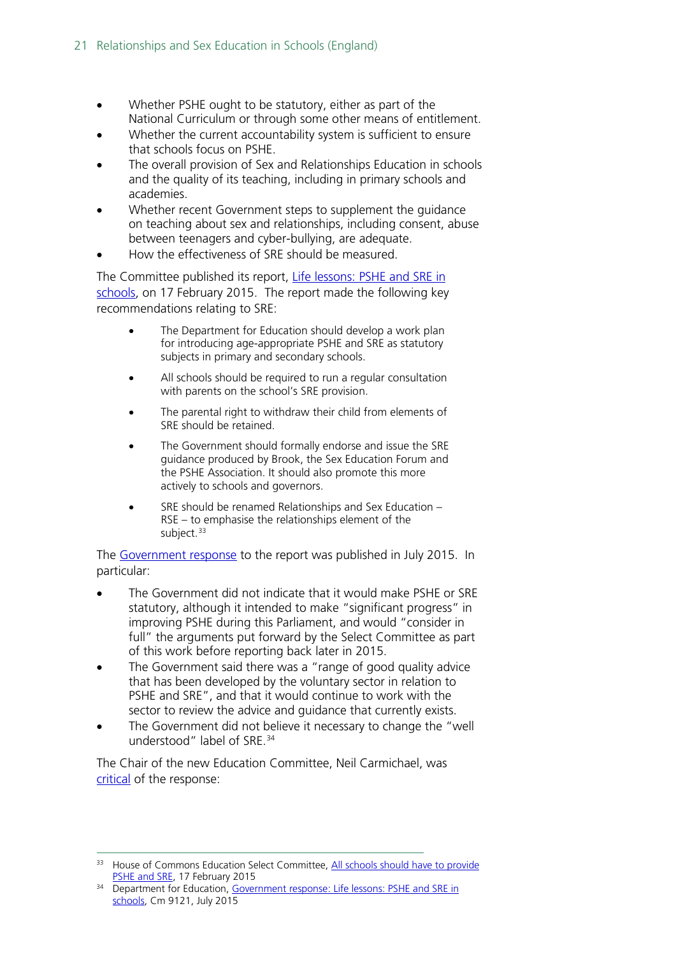- Whether PSHE ought to be statutory, either as part of the National Curriculum or through some other means of entitlement.
- Whether the current accountability system is sufficient to ensure that schools focus on PSHE.
- The overall provision of Sex and Relationships Education in schools and the quality of its teaching, including in primary schools and academies.
- Whether recent Government steps to supplement the guidance on teaching about sex and relationships, including consent, abuse between teenagers and cyber-bullying, are adequate.
- How the effectiveness of SRE should be measured.

The Committee published its report, Life lessons: PSHE and SRE in [schools,](http://www.publications.parliament.uk/pa/cm201415/cmselect/cmeduc/145/145.pdf) on 17 February 2015. The report made the following key recommendations relating to SRE:

- The Department for Education should develop a work plan for introducing age-appropriate PSHE and SRE as statutory subjects in primary and secondary schools.
- All schools should be required to run a regular consultation with parents on the school's SRE provision.
- The parental right to withdraw their child from elements of SRE should be retained.
- The Government should formally endorse and issue the SRE guidance produced by Brook, the Sex Education Forum and the PSHE Association. It should also promote this more actively to schools and governors.
- SRE should be renamed Relationships and Sex Education RSE – to emphasise the relationships element of the subject.<sup>[33](#page-20-0)</sup>

The [Government response](https://www.gov.uk/government/uploads/system/uploads/attachment_data/file/446038/50742_Cm_9121_Web.pdf) to the report was published in July 2015. In particular:

- The Government did not indicate that it would make PSHE or SRE statutory, although it intended to make "significant progress" in improving PSHE during this Parliament, and would "consider in full" the arguments put forward by the Select Committee as part of this work before reporting back later in 2015.
- The Government said there was a "range of good quality advice that has been developed by the voluntary sector in relation to PSHE and SRE", and that it would continue to work with the sector to review the advice and guidance that currently exists.
- The Government did not believe it necessary to change the "well understood" label of SRE. [34](#page-20-1)

The Chair of the new Education Committee, Neil Carmichael, was [critical](http://www.parliament.uk/business/committees/committees-a-z/commons-select/education-committee/news-parliament-2015/comment-sex-education-15-16/) of the response:

<span id="page-20-0"></span><sup>&</sup>lt;sup>33</sup> House of Commons Education Select Committee, All schools should have to provide [PSHE and SRE,](http://www.parliament.uk/business/committees/committees-a-z/commons-select/education-committee/news/pshe-sre-report/) 17 February 2015

<span id="page-20-1"></span><sup>&</sup>lt;sup>34</sup> Department for Education, Government response: Life lessons: PSHE and SRE in [schools,](https://www.gov.uk/government/uploads/system/uploads/attachment_data/file/445760/50742-Cm-9121-Print.pdf) Cm 9121, July 2015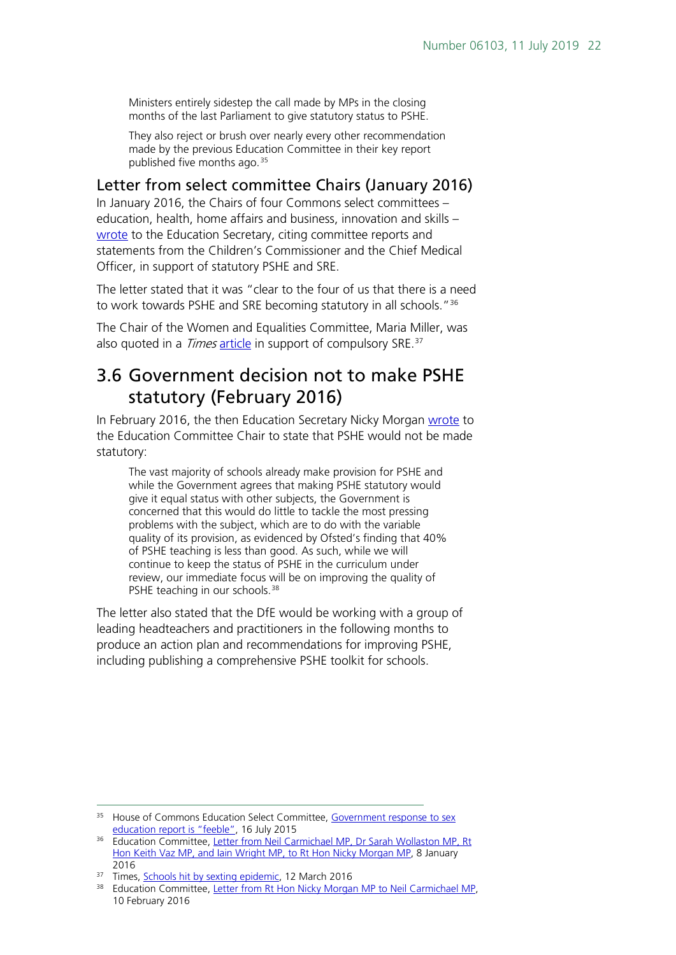Ministers entirely sidestep the call made by MPs in the closing months of the last Parliament to give statutory status to PSHE.

They also reject or brush over nearly every other recommendation made by the previous Education Committee in their key report published five months ago.<sup>[35](#page-21-2)</sup>

#### <span id="page-21-0"></span>Letter from select committee Chairs (January 2016)

In January 2016, the Chairs of four Commons select committees – education, health, home affairs and business, innovation and skills – [wrote](http://www.parliament.uk/documents/commons-committees/Education/Chairs) to the Education Secretary, citing committee reports and statements from the Children's Commissioner and the Chief Medical Officer, in support of statutory PSHE and SRE.

The letter stated that it was "clear to the four of us that there is a need to work towards PSHE and SRE becoming statutory in all schools."<sup>[36](#page-21-3)</sup>

The Chair of the Women and Equalities Committee, Maria Miller, was also quoted in a *Times* [article](http://www.thetimes.co.uk/tto/education/article4711540.ece) in support of compulsory SRE.<sup>[37](#page-21-4)</sup>

### <span id="page-21-1"></span>3.6 Government decision not to make PSHE statutory (February 2016)

In February 2016, the then Education Secretary Nicky Morgan [wrote](http://www.parliament.uk/documents/commons-committees/Education/Letter-from-the-Secretary-of-State-to-the-Committee-on-statutory-status-for-PSHE.pdf) to the Education Committee Chair to state that PSHE would not be made statutory:

The vast majority of schools already make provision for PSHE and while the Government agrees that making PSHE statutory would give it equal status with other subjects, the Government is concerned that this would do little to tackle the most pressing problems with the subject, which are to do with the variable quality of its provision, as evidenced by Ofsted's finding that 40% of PSHE teaching is less than good. As such, while we will continue to keep the status of PSHE in the curriculum under review, our immediate focus will be on improving the quality of PSHE teaching in our schools.<sup>[38](#page-21-5)</sup>

The letter also stated that the DfE would be working with a group of leading headteachers and practitioners in the following months to produce an action plan and recommendations for improving PSHE, including publishing a comprehensive PSHE toolkit for schools.

<span id="page-21-2"></span><sup>&</sup>lt;sup>35</sup> House of Commons Education Select Committee, Government response to sex [education report is "feeble",](http://www.parliament.uk/business/committees/committees-a-z/commons-select/education-committee/news-parliament-2015/comment-sex-education-15-16/) 16 July 2015

<span id="page-21-3"></span><sup>&</sup>lt;sup>36</sup> Education Committee, Letter from Neil Carmichael MP, Dr Sarah Wollaston MP, Rt [Hon Keith Vaz MP, and Iain Wright MP, to Rt Hon Nicky Morgan MP,](http://www.parliament.uk/documents/commons-committees/Education/Chairs) 8 January 2016

<span id="page-21-4"></span><sup>&</sup>lt;sup>37</sup> Times, [Schools hit by sexting epidemic,](http://www.thetimes.co.uk/tto/education/article4711540.ece) 12 March 2016

<span id="page-21-5"></span><sup>&</sup>lt;sup>38</sup> Education Committee, [Letter from Rt Hon Nicky Morgan MP to Neil Carmichael MP,](http://www.parliament.uk/documents/commons-committees/Education/Letter-from-the-Secretary-of-State-to-the-Committee-on-statutory-status-for-PSHE.pdf) 10 February 2016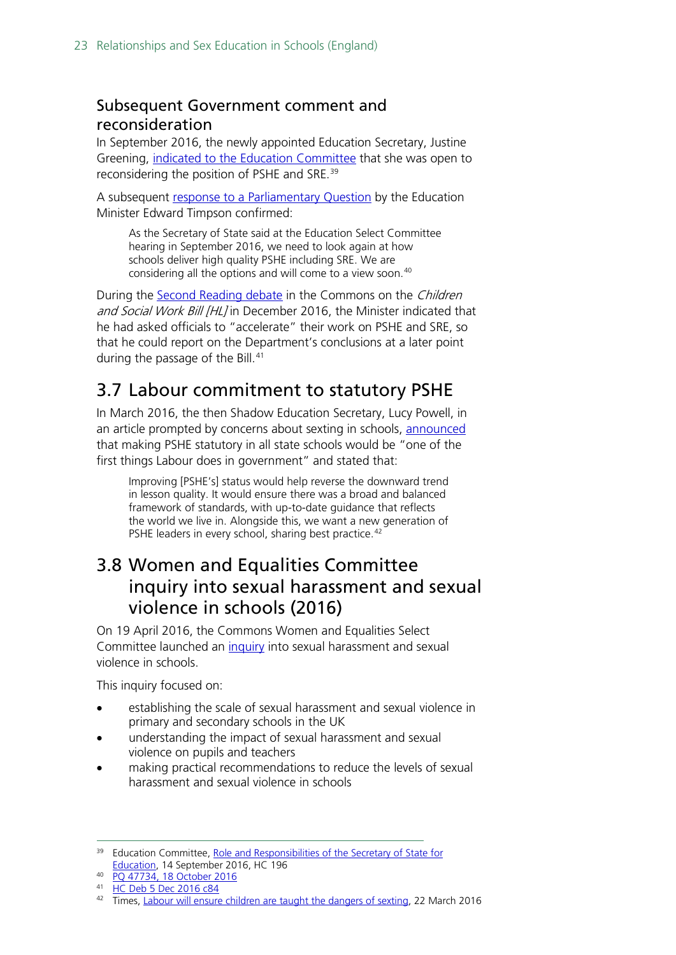### <span id="page-22-0"></span>Subsequent Government comment and reconsideration

In September 2016, the newly appointed Education Secretary, Justine Greening, [indicated to the Education Committee](http://data.parliament.uk/writtenevidence/committeeevidence.svc/evidencedocument/education-committee/role-and-responsibilities-of-the-secretary-of-state/oral/38342.pdf) that she was open to reconsidering the position of PSHE and SRE.[39](#page-22-3)

A subsequent [response to a Parliamentary Question](http://www.parliament.uk/written-questions-answers-statements/written-question/commons/2016-10-10/47734) by the Education Minister Edward Timpson confirmed:

As the Secretary of State said at the Education Select Committee hearing in September 2016, we need to look again at how schools deliver high quality PSHE including SRE. We are considering all the options and will come to a view soon.<sup>[40](#page-22-4)</sup>

During the [Second Reading debate](https://hansard.parliament.uk/commons/2016-12-05/debates/F3215438-F9D3-43FA-854E-5EA519D838DD/ChildrenAndSocialWorkBill(Lords)) in the Commons on the Children and Social Work Bill [HL] in December 2016, the Minister indicated that he had asked officials to "accelerate" their work on PSHE and SRE, so that he could report on the Department's conclusions at a later point during the passage of the Bill. [41](#page-22-5)

### <span id="page-22-1"></span>3.7 Labour commitment to statutory PSHE

In March 2016, the then Shadow Education Secretary, Lucy Powell, in an article prompted by concerns about sexting in schools, [announced](http://www.thetimes.co.uk/tto/opinion/thunderer/article4718516.ece) that making PSHE statutory in all state schools would be "one of the first things Labour does in government" and stated that:

Improving [PSHE's] status would help reverse the downward trend in lesson quality. It would ensure there was a broad and balanced framework of standards, with up-to-date guidance that reflects the world we live in. Alongside this, we want a new generation of PSHE leaders in every school, sharing best practice.<sup>[42](#page-22-6)</sup>

### <span id="page-22-2"></span>3.8 Women and Equalities Committee inquiry into sexual harassment and sexual violence in schools (2016)

On 19 April 2016, the Commons Women and Equalities Select Committee launched an [inquiry](http://www.parliament.uk/business/committees/committees-a-z/commons-select/women-and-equalities-committee/inquiries/parliament-2015/inquiry1/) into sexual harassment and sexual violence in schools.

This inquiry focused on:

- establishing the scale of sexual harassment and sexual violence in primary and secondary schools in the UK
- understanding the impact of sexual harassment and sexual violence on pupils and teachers
- making practical recommendations to reduce the levels of sexual harassment and sexual violence in schools

<span id="page-22-3"></span><sup>&</sup>lt;sup>39</sup> Education Committee, Role and Responsibilities of the Secretary of State for [Education,](http://data.parliament.uk/writtenevidence/committeeevidence.svc/evidencedocument/education-committee/role-and-responsibilities-of-the-secretary-of-state/oral/38342.pdf) 14 September 2016, HC 196

<sup>40</sup> [PQ 47734, 18 October 2016](http://www.parliament.uk/written-questions-answers-statements/written-question/commons/2016-10-10/47734)

<span id="page-22-5"></span><span id="page-22-4"></span><sup>41</sup> [HC Deb 5 Dec 2016 c84](https://hansard.parliament.uk/commons/2016-12-05/debates/F3215438-F9D3-43FA-854E-5EA519D838DD/ChildrenAndSocialWorkBill(Lords))

<span id="page-22-6"></span><sup>&</sup>lt;sup>42</sup> Times, [Labour will ensure children are taught the dangers of sexting,](http://www.thetimes.co.uk/tto/opinion/thunderer/article4718516.ece) 22 March 2016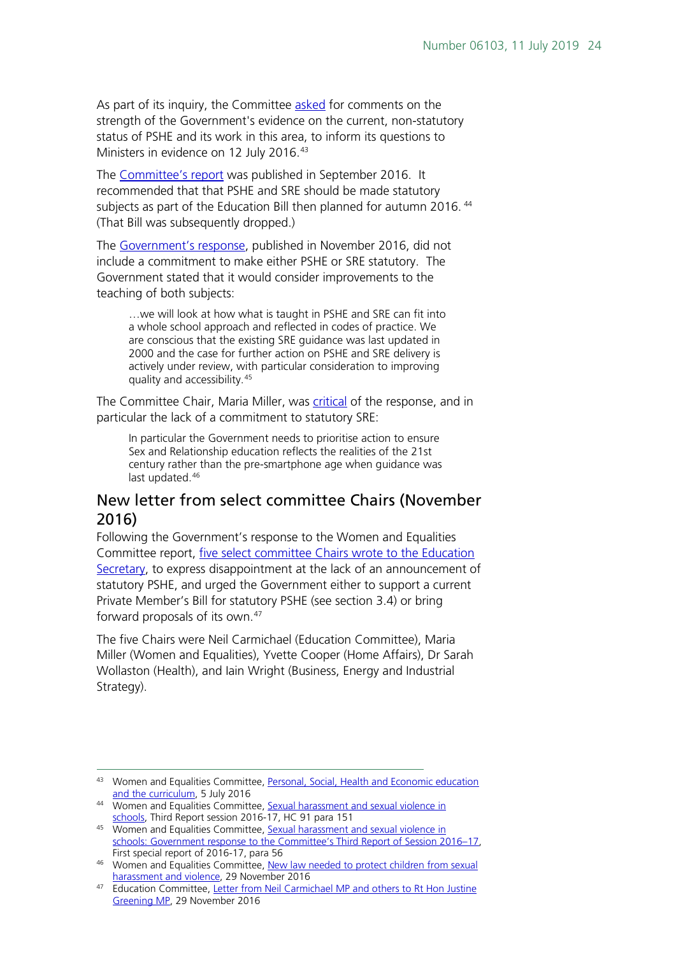As part of its inquiry, the Committee [asked](http://www.parliament.uk/business/committees/committees-a-z/commons-select/women-and-equalities-committee/dfe-evidence-check-forum/curriculum-and-personal-social-health-and-economic-education/) for comments on the strength of the Government's evidence on the current, non-statutory status of PSHE and its work in this area, to inform its questions to Ministers in evidence on 12 July 2016.<sup>[43](#page-23-1)</sup>

The [Committee's report](http://www.parliament.uk/business/committees/committees-a-z/commons-select/women-and-equalities-committee/news-parliament-2015/sexual-harassment-and-violence-in-schools-report-published-16-17/) was published in September 2016. It recommended that that PSHE and SRE should be made statutory subjects as part of the Education Bill then planned for autumn 2016.<sup>[44](#page-23-2)</sup> (That Bill was subsequently dropped.)

The [Government's response,](http://www.parliament.uk/business/committees/committees-a-z/commons-select/women-and-equalities-committee/news-parliament-2015/sexual-harassment-and-sexual-violence-in-schools-government-response-published-16-17/) published in November 2016, did not include a commitment to make either PSHE or SRE statutory. The Government stated that it would consider improvements to the teaching of both subjects:

…we will look at how what is taught in PSHE and SRE can fit into a whole school approach and reflected in codes of practice. We are conscious that the existing SRE guidance was last updated in 2000 and the case for further action on PSHE and SRE delivery is actively under review, with particular consideration to improving quality and accessibility.[45](#page-23-3)

The Committee Chair, Maria Miller, was [critical](http://www.parliament.uk/business/committees/committees-a-z/commons-select/women-and-equalities-committee/news-parliament-2015/sexual-harassment-and-sexual-violence-in-schools-government-response-published-16-17/) of the response, and in particular the lack of a commitment to statutory SRE:

In particular the Government needs to prioritise action to ensure Sex and Relationship education reflects the realities of the 21st century rather than the pre-smartphone age when guidance was last updated. [46](#page-23-4)

#### <span id="page-23-0"></span>New letter from select committee Chairs (November 2016)

Following the Government's response to the Women and Equalities Committee report, [five select committee Chairs wrote to the Education](http://www.parliament.uk/documents/commons-committees/Education/Correspondence/Chairs-letter-to-Secretary-of-State-re-PSHE-status-29-11-2016.PDF)  [Secretary,](http://www.parliament.uk/documents/commons-committees/Education/Correspondence/Chairs-letter-to-Secretary-of-State-re-PSHE-status-29-11-2016.PDF) to express disappointment at the lack of an announcement of statutory PSHE, and urged the Government either to support a current Private Member's Bill for statutory PSHE (see section 3.4) or bring forward proposals of its own.[47](#page-23-5)

The five Chairs were Neil Carmichael (Education Committee), Maria Miller (Women and Equalities), Yvette Cooper (Home Affairs), Dr Sarah Wollaston (Health), and Iain Wright (Business, Energy and Industrial Strategy).

<span id="page-23-1"></span><sup>43</sup> Women and Equalities Committee, Personal, Social, Health and Economic education [and the curriculum,](http://www.parliament.uk/business/committees/committees-a-z/commons-select/women-and-equalities-committee/dfe-evidence-check-forum/curriculum-and-personal-social-health-and-economic-education/) 5 July 2016

<span id="page-23-2"></span><sup>44</sup> Women and Equalities Committee, Sexual harassment and sexual violence in [schools,](http://www.publications.parliament.uk/pa/cm201617/cmselect/cmwomeq/91/91.pdf) Third Report session 2016-17, HC 91 para 151

<span id="page-23-3"></span><sup>45</sup> Women and Equalities Committee, Sexual harassment and sexual violence in schools: Government response to the Committee's Third Report of Session 2016-17, First special report of 2016-17, para 56

<span id="page-23-4"></span><sup>&</sup>lt;sup>46</sup> Women and Equalities Committee, New law needed to protect children from sexual [harassment and violence,](http://www.parliament.uk/business/committees/committees-a-z/commons-select/women-and-equalities-committee/news-parliament-2015/sexual-harassment-and-sexual-violence-in-schools-government-response-published-16-17/) 29 November 2016

<span id="page-23-5"></span><sup>&</sup>lt;sup>47</sup> Education Committee, Letter from Neil Carmichael MP and others to Rt Hon Justine [Greening MP,](http://www.parliament.uk/documents/commons-committees/Education/Correspondence/Chairs-letter-to-Secretary-of-State-re-PSHE-status-29-11-2016.PDF) 29 November 2016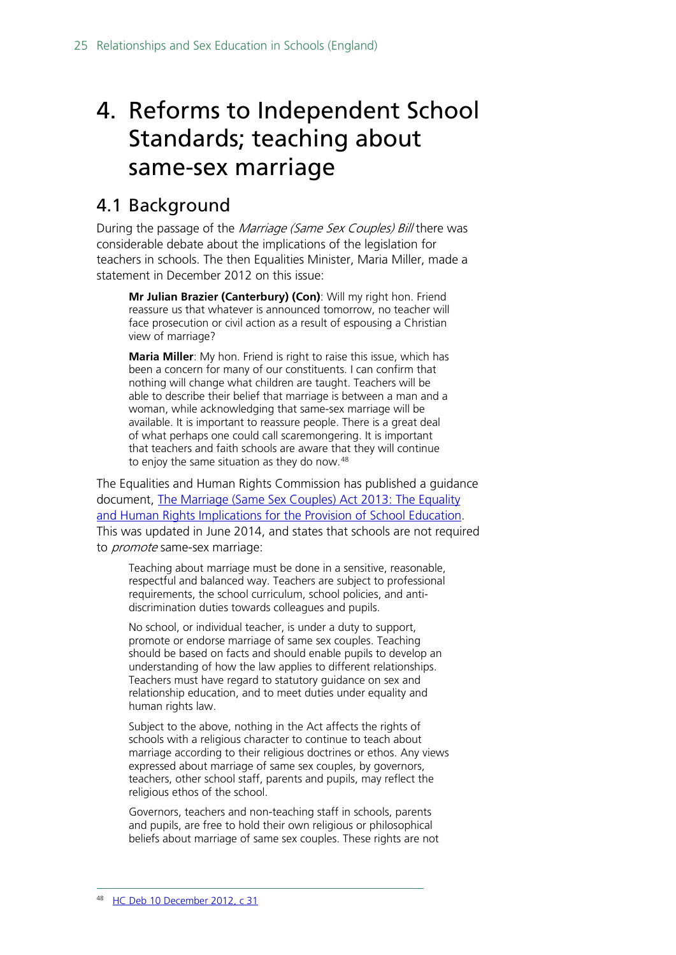## <span id="page-24-0"></span>4. Reforms to Independent School Standards; teaching about same-sex marriage

### <span id="page-24-1"></span>4.1 Background

During the passage of the Marriage (Same Sex Couples) Bill there was considerable debate about the implications of the legislation for teachers in schools. The then Equalities Minister, Maria Miller, made a statement in December 2012 on this issue:

**Mr Julian Brazier (Canterbury) (Con)**: Will my right hon. Friend reassure us that whatever is announced tomorrow, no teacher will face prosecution or civil action as a result of espousing a Christian view of marriage?

**Maria Miller**: My hon. Friend is right to raise this issue, which has been a concern for many of our constituents. I can confirm that nothing will change what children are taught. Teachers will be able to describe their belief that marriage is between a man and a woman, while acknowledging that same-sex marriage will be available. It is important to reassure people. There is a great deal of what perhaps one could call scaremongering. It is important that teachers and faith schools are aware that they will continue to enjoy the same situation as they do now.<sup>[48](#page-24-2)</sup>

The Equalities and Human Rights Commission has published a guidance document, [The Marriage \(Same Sex Couples\) Act 2013: The Equality](http://www.equalityhumanrights.com/sites/default/files/publication_pdf/GD.13.103-4%20Schools%2024-03-14.pdf)  [and Human Rights Implications for the Provision of School Education.](http://www.equalityhumanrights.com/sites/default/files/publication_pdf/GD.13.103-4%20Schools%2024-03-14.pdf) This was updated in June 2014, and states that schools are not required to *promote* same-sex marriage:

Teaching about marriage must be done in a sensitive, reasonable, respectful and balanced way. Teachers are subject to professional requirements, the school curriculum, school policies, and antidiscrimination duties towards colleagues and pupils.

No school, or individual teacher, is under a duty to support, promote or endorse marriage of same sex couples. Teaching should be based on facts and should enable pupils to develop an understanding of how the law applies to different relationships. Teachers must have regard to statutory guidance on sex and relationship education, and to meet duties under equality and human rights law.

Subject to the above, nothing in the Act affects the rights of schools with a religious character to continue to teach about marriage according to their religious doctrines or ethos. Any views expressed about marriage of same sex couples, by governors, teachers, other school staff, parents and pupils, may reflect the religious ethos of the school.

<span id="page-24-2"></span>Governors, teachers and non-teaching staff in schools, parents and pupils, are free to hold their own religious or philosophical beliefs about marriage of same sex couples. These rights are not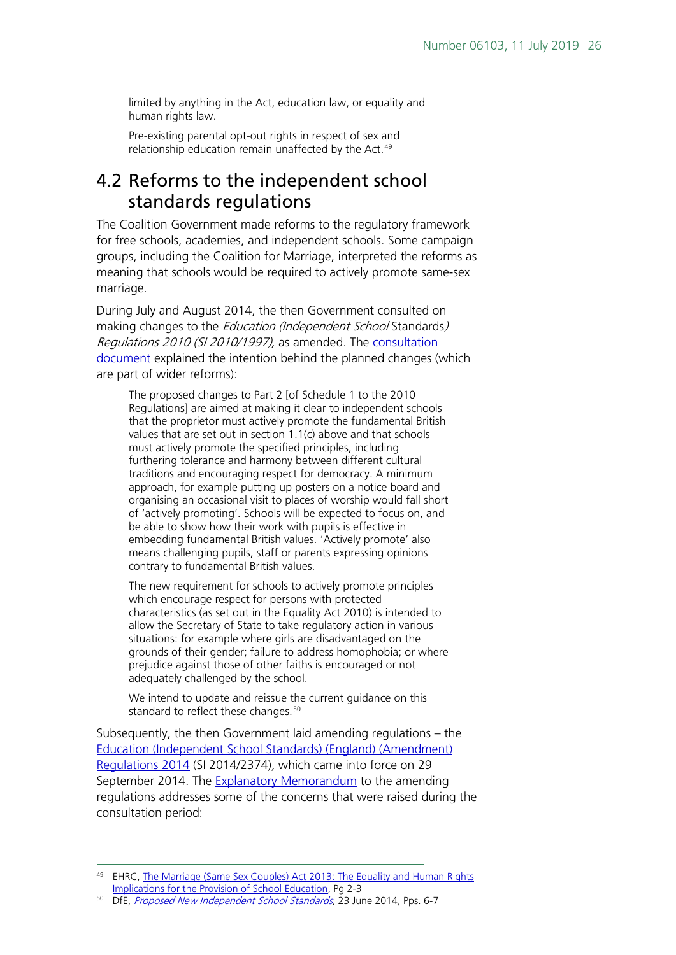limited by anything in the Act, education law, or equality and human rights law.

Pre-existing parental opt-out rights in respect of sex and relationship education remain unaffected by the Act.<sup>[49](#page-25-1)</sup>

### <span id="page-25-0"></span>4.2 Reforms to the independent school standards regulations

The Coalition Government made reforms to the regulatory framework for free schools, academies, and independent schools. Some campaign groups, including the Coalition for Marriage, interpreted the reforms as meaning that schools would be required to actively promote same-sex marriage.

During July and August 2014, the then Government consulted on making changes to the *Education (Independent School* Standards) Regulations 2010 (SI 2010/1997), as amended. The [consultation](https://www.gov.uk/government/uploads/system/uploads/attachment_data/file/322296/Consultation_Document_23_6_-_independent_school_standards.pdf)  [document](https://www.gov.uk/government/uploads/system/uploads/attachment_data/file/322296/Consultation_Document_23_6_-_independent_school_standards.pdf) explained the intention behind the planned changes (which are part of wider reforms):

The proposed changes to Part 2 [of Schedule 1 to the 2010 Regulations] are aimed at making it clear to independent schools that the proprietor must actively promote the fundamental British values that are set out in section 1.1(c) above and that schools must actively promote the specified principles, including furthering tolerance and harmony between different cultural traditions and encouraging respect for democracy. A minimum approach, for example putting up posters on a notice board and organising an occasional visit to places of worship would fall short of 'actively promoting'. Schools will be expected to focus on, and be able to show how their work with pupils is effective in embedding fundamental British values. 'Actively promote' also means challenging pupils, staff or parents expressing opinions contrary to fundamental British values.

The new requirement for schools to actively promote principles which encourage respect for persons with protected characteristics (as set out in the Equality Act 2010) is intended to allow the Secretary of State to take regulatory action in various situations: for example where girls are disadvantaged on the grounds of their gender; failure to address homophobia; or where prejudice against those of other faiths is encouraged or not adequately challenged by the school.

We intend to update and reissue the current guidance on this standard to reflect these changes.<sup>[50](#page-25-2)</sup>

Subsequently, the then Government laid amending regulations – the [Education \(Independent School Standards\) \(England\) \(Amendment\)](http://www.legislation.gov.uk/uksi/2014/2374/pdfs/uksi_20142374_en.pdf)  [Regulations 2014](http://www.legislation.gov.uk/uksi/2014/2374/pdfs/uksi_20142374_en.pdf) (SI 2014/2374), which came into force on 29 September 2014. The **Explanatory Memorandum** to the amending regulations addresses some of the concerns that were raised during the consultation period:

<span id="page-25-1"></span><sup>&</sup>lt;sup>49</sup> EHRC, The Marriage (Same Sex Couples) Act 2013: The Equality and Human Rights [Implications for the Provision of School Education,](http://www.equalityhumanrights.com/sites/default/files/publication_pdf/GD.13.103-4%20Schools%2024-03-14.pdf) Pg 2-3

<span id="page-25-2"></span><sup>50</sup> DfE, *Proposed New Independent School Standards*, 23 June 2014, Pps. 6-7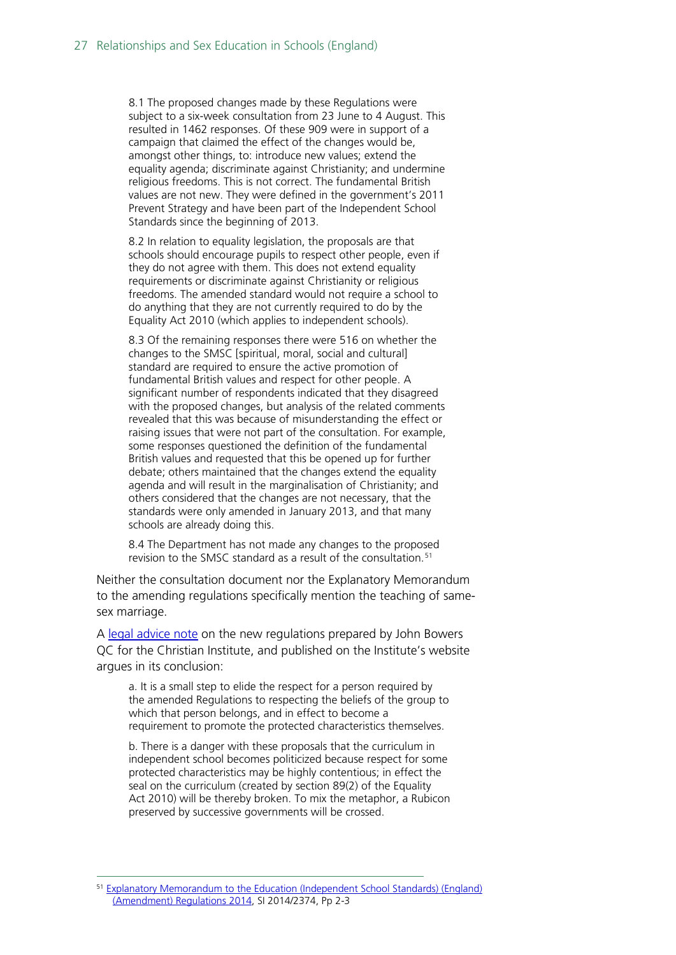8.1 The proposed changes made by these Regulations were subject to a six-week consultation from 23 June to 4 August. This resulted in 1462 responses. Of these 909 were in support of a campaign that claimed the effect of the changes would be, amongst other things, to: introduce new values; extend the equality agenda; discriminate against Christianity; and undermine religious freedoms. This is not correct. The fundamental British values are not new. They were defined in the government's 2011 Prevent Strategy and have been part of the Independent School Standards since the beginning of 2013.

8.2 In relation to equality legislation, the proposals are that schools should encourage pupils to respect other people, even if they do not agree with them. This does not extend equality requirements or discriminate against Christianity or religious freedoms. The amended standard would not require a school to do anything that they are not currently required to do by the Equality Act 2010 (which applies to independent schools).

8.3 Of the remaining responses there were 516 on whether the changes to the SMSC [spiritual, moral, social and cultural] standard are required to ensure the active promotion of fundamental British values and respect for other people. A significant number of respondents indicated that they disagreed with the proposed changes, but analysis of the related comments revealed that this was because of misunderstanding the effect or raising issues that were not part of the consultation. For example, some responses questioned the definition of the fundamental British values and requested that this be opened up for further debate; others maintained that the changes extend the equality agenda and will result in the marginalisation of Christianity; and others considered that the changes are not necessary, that the standards were only amended in January 2013, and that many schools are already doing this.

8.4 The Department has not made any changes to the proposed revision to the SMSC standard as a result of the consultation.<sup>[51](#page-26-0)</sup>

Neither the consultation document nor the Explanatory Memorandum to the amending regulations specifically mention the teaching of samesex marriage.

A [legal advice note](http://www.christian.org.uk/JohnBowersQC-SchoolRegulations.pdf) on the new regulations prepared by John Bowers QC for the Christian Institute, and published on the Institute's website argues in its conclusion:

a. It is a small step to elide the respect for a person required by the amended Regulations to respecting the beliefs of the group to which that person belongs, and in effect to become a requirement to promote the protected characteristics themselves.

b. There is a danger with these proposals that the curriculum in independent school becomes politicized because respect for some protected characteristics may be highly contentious; in effect the seal on the curriculum (created by section 89(2) of the Equality Act 2010) will be thereby broken. To mix the metaphor, a Rubicon preserved by successive governments will be crossed.

<span id="page-26-0"></span> <sup>51</sup> [Explanatory Memorandum to the Education \(Independent School Standards\) \(England\)](http://www.legislation.gov.uk/uksi/2014/2374/pdfs/uksiem_20142374_en.pdf)  [\(Amendment\) Regulations 2014,](http://www.legislation.gov.uk/uksi/2014/2374/pdfs/uksiem_20142374_en.pdf) SI 2014/2374, Pp 2-3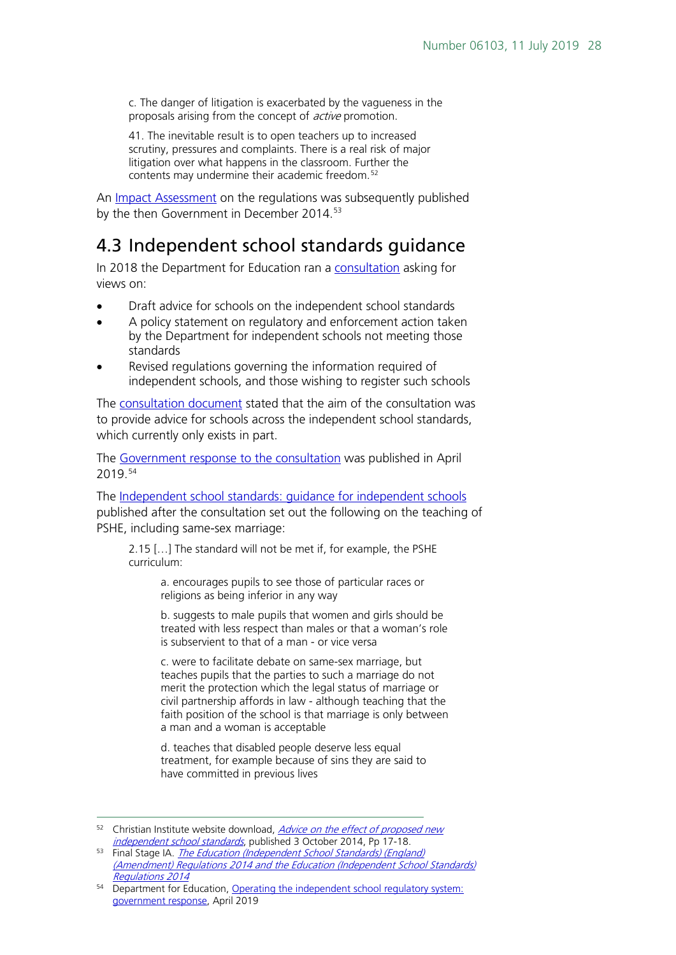c. The danger of litigation is exacerbated by the vagueness in the proposals arising from the concept of *active* promotion.

41. The inevitable result is to open teachers up to increased scrutiny, pressures and complaints. There is a real risk of major litigation over what happens in the classroom. Further the contents may undermine their academic freedom.<sup>[52](#page-27-1)</sup>

An **Impact Assessment** on the regulations was subsequently published by the then Government in December 2014.<sup>[53](#page-27-2)</sup>

### <span id="page-27-0"></span>4.3 Independent school standards guidance

In 2018 the Department for Education ran a [consultation](https://www.gov.uk/government/consultations/operating-the-independent-school-regulatory-system) asking for views on:

- Draft advice for schools on the independent school standards
- A policy statement on regulatory and enforcement action taken by the Department for independent schools not meeting those standards
- Revised regulations governing the information required of independent schools, and those wishing to register such schools

The [consultation document](https://consult.education.gov.uk/school-frameworks/operating-the-independent-school-regulatory-system/supporting_documents/ISSPackageConDocv7.0.pdf) stated that the aim of the consultation was to provide advice for schools across the independent school standards, which currently only exists in part.

The [Government response to the consultation](https://www.gov.uk/government/consultations/operating-the-independent-school-regulatory-system) was published in April 2019.[54](#page-27-3)

The [Independent school standards: guidance for independent schools](https://assets.publishing.service.gov.uk/government/uploads/system/uploads/attachment_data/file/800615/Independent_School_Standards-_Guidance_070519.pdf) published after the consultation set out the following on the teaching of PSHE, including same-sex marriage:

2.15 […] The standard will not be met if, for example, the PSHE curriculum:

> a. encourages pupils to see those of particular races or religions as being inferior in any way

b. suggests to male pupils that women and girls should be treated with less respect than males or that a woman's role is subservient to that of a man - or vice versa

c. were to facilitate debate on same-sex marriage, but teaches pupils that the parties to such a marriage do not merit the protection which the legal status of marriage or civil partnership affords in law - although teaching that the faith position of the school is that marriage is only between a man and a woman is acceptable

d. teaches that disabled people deserve less equal treatment, for example because of sins they are said to have committed in previous lives

<span id="page-27-1"></span><sup>52</sup> Christian Institute website download, *Advice on the effect of proposed new*<br>*independent school standards*, published 3 October 2014, Pp 17-18.

<span id="page-27-2"></span><sup>53</sup> Final Stage IA. *The Education (Independent School Standards) (England)* [\(Amendment\) Regulations 2014 and the Education \(Independent School Standards\)](http://www.legislation.gov.uk/ukia/2014/380/pdfs/ukia_20140380_en.pdf)  [Regulations 2014](http://www.legislation.gov.uk/ukia/2014/380/pdfs/ukia_20140380_en.pdf)

<span id="page-27-3"></span><sup>&</sup>lt;sup>54</sup> Department for Education, Operating the independent school regulatory system: [government response,](https://www.gov.uk/government/consultations/operating-the-independent-school-regulatory-system) April 2019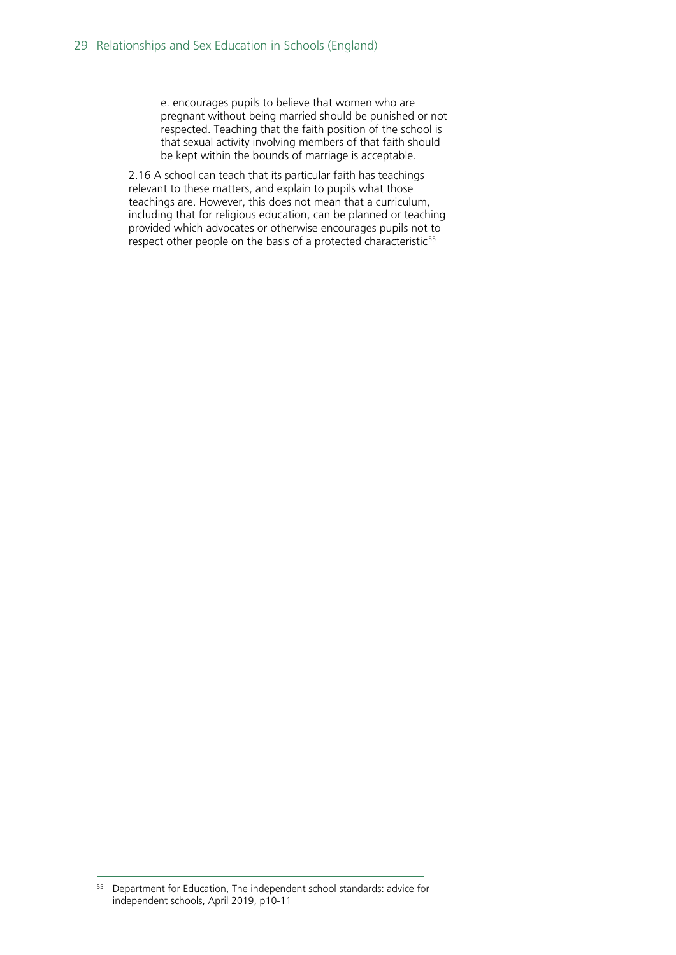e. encourages pupils to believe that women who are pregnant without being married should be punished or not respected. Teaching that the faith position of the school is that sexual activity involving members of that faith should be kept within the bounds of marriage is acceptable.

2.16 A school can teach that its particular faith has teachings relevant to these matters, and explain to pupils what those teachings are. However, this does not mean that a curriculum, including that for religious education, can be planned or teaching provided which advocates or otherwise encourages pupils not to respect other people on the basis of a protected characteristic<sup>[55](#page-28-0)</sup>

<span id="page-28-0"></span> <sup>55</sup> Department for Education, The independent school standards: advice for independent schools, April 2019, p10-11